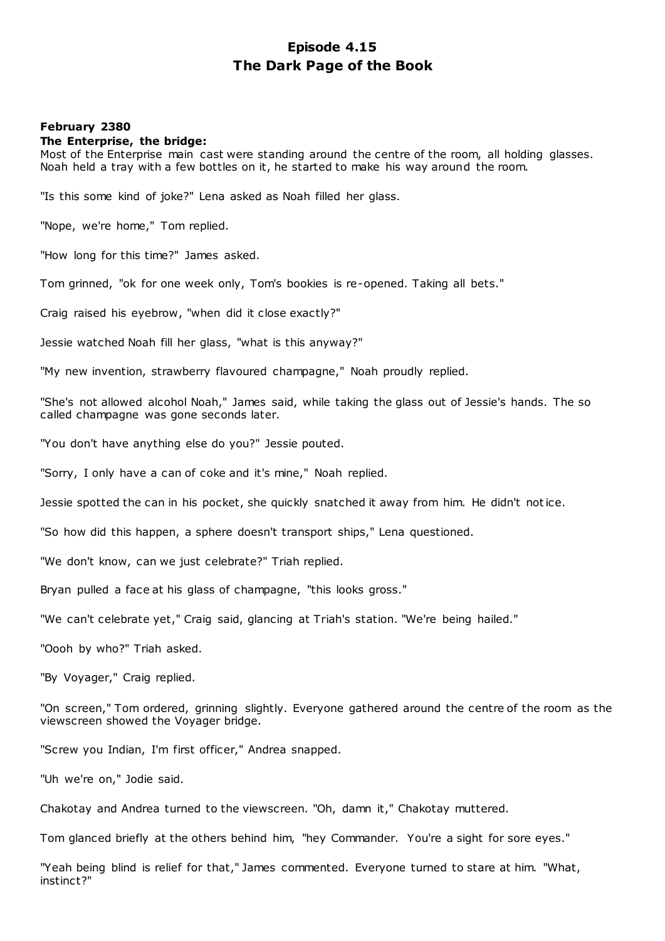# **Episode 4.15 The Dark Page of the Book**

## **February 2380**

## **The Enterprise, the bridge:**

Most of the Enterprise main cast were standing around the centre of the room, all holding glasses. Noah held a tray with a few bottles on it, he started to make his way around the room.

"Is this some kind of joke?" Lena asked as Noah filled her glass.

"Nope, we're home," Tom replied.

"How long for this time?" James asked.

Tom grinned, "ok for one week only, Tom's bookies is re-opened. Taking all bets."

Craig raised his eyebrow, "when did it close exactly?"

Jessie watched Noah fill her glass, "what is this anyway?"

"My new invention, strawberry flavoured champagne," Noah proudly replied.

"She's not allowed alcohol Noah," James said, while taking the glass out of Jessie's hands. The so called champagne was gone seconds later.

"You don't have anything else do you?" Jessie pouted.

"Sorry, I only have a can of coke and it's mine," Noah replied.

Jessie spotted the can in his pocket, she quickly snatched it away from him. He didn't notice.

"So how did this happen, a sphere doesn't transport ships," Lena questioned.

"We don't know, can we just celebrate?" Triah replied.

Bryan pulled a face at his glass of champagne, "this looks gross."

"We can't celebrate yet," Craig said, glancing at Triah's station. "We're being hailed."

"Oooh by who?" Triah asked.

"By Voyager," Craig replied.

"On screen," Tom ordered, grinning slightly. Everyone gathered around the centre of the room as the viewscreen showed the Voyager bridge.

"Screw you Indian, I'm first officer," Andrea snapped.

"Uh we're on," Jodie said.

Chakotay and Andrea turned to the viewscreen. "Oh, damn it," Chakotay muttered.

Tom glanced briefly at the others behind him, "hey Commander. You're a sight for sore eyes."

"Yeah being blind is relief for that," James commented. Everyone turned to stare at him. "What, instinct?"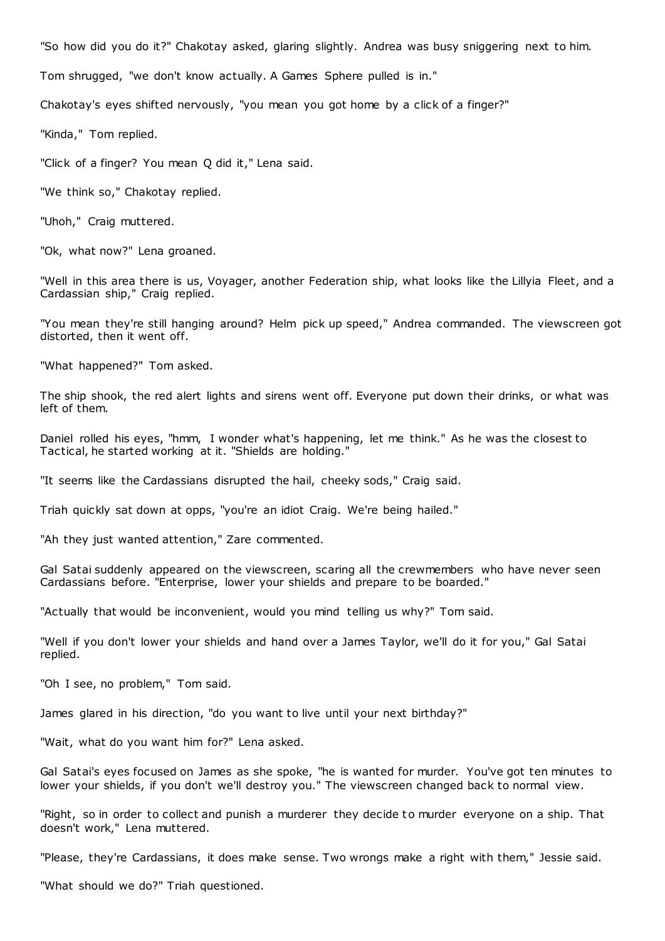"So how did you do it?" Chakotay asked, glaring slightly. Andrea was busy sniggering next to him.

Tom shrugged, "we don't know actually. A Games Sphere pulled is in."

Chakotay's eyes shifted nervously, "you mean you got home by a click of a finger?"

"Kinda," Tom replied.

"Click of a finger? You mean Q did it," Lena said.

"We think so," Chakotay replied.

"Uhoh," Craig muttered.

"Ok, what now?" Lena groaned.

"Well in this area there is us, Voyager, another Federation ship, what looks like the Lillyia Fleet, and a Cardassian ship," Craig replied.

"You mean they're still hanging around? Helm pick up speed," Andrea commanded. The viewscreen got distorted, then it went off.

"What happened?" Tom asked.

The ship shook, the red alert lights and sirens went off. Everyone put down their drinks, or what was left of them.

Daniel rolled his eyes, "hmm, I wonder what's happening, let me think." As he was the closest to Tactical, he started working at it. "Shields are holding."

"It seems like the Cardassians disrupted the hail, cheeky sods," Craig said.

Triah quickly sat down at opps, "you're an idiot Craig. We're being hailed."

"Ah they just wanted attention," Zare commented.

Gal Satai suddenly appeared on the viewscreen, scaring all the crewmembers who have never seen Cardassians before. "Enterprise, lower your shields and prepare to be boarded."

"Actually that would be inconvenient, would you mind telling us why?" Tom said.

"Well if you don't lower your shields and hand over a James Taylor, we'll do it for you," Gal Satai replied.

"Oh I see, no problem," Tom said.

James glared in his direction, "do you want to live until your next birthday?"

"Wait, what do you want him for?" Lena asked.

Gal Satai's eyes focused on James as she spoke, "he is wanted for murder. You've got ten minutes to lower your shields, if you don't we'll destroy you." The viewscreen changed back to normal view.

"Right, so in order to collect and punish a murderer they decide to murder everyone on a ship. That doesn't work," Lena muttered.

"Please, they're Cardassians, it does make sense. Two wrongs make a right with them," Jessie said.

"What should we do?" Triah questioned.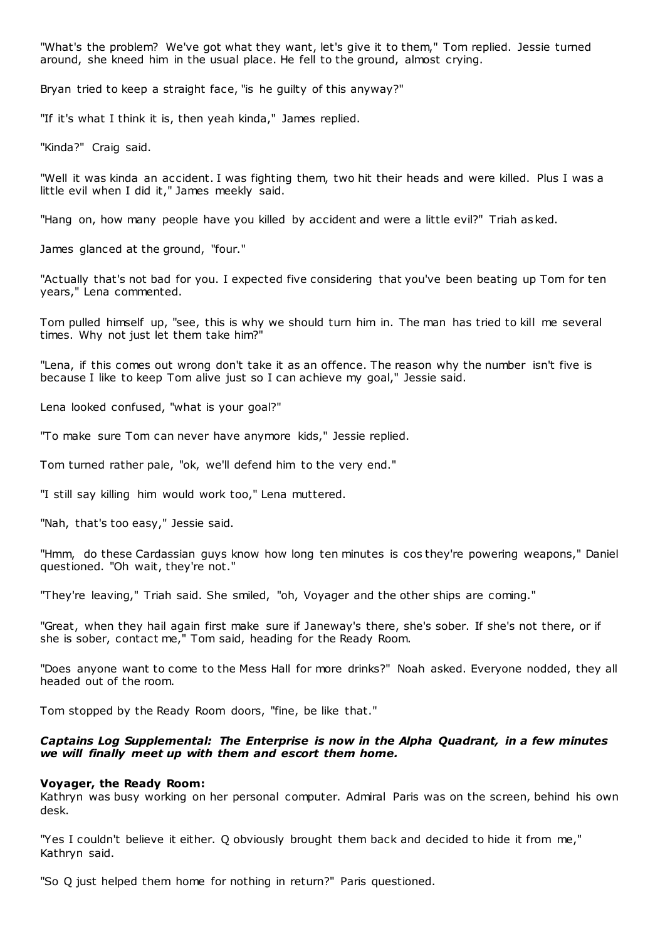"What's the problem? We've got what they want, let's give it to them," Tom replied. Jessie turned around, she kneed him in the usual place. He fell to the ground, almost crying.

Bryan tried to keep a straight face, "is he guilty of this anyway?"

"If it's what I think it is, then yeah kinda," James replied.

"Kinda?" Craig said.

"Well it was kinda an accident. I was fighting them, two hit their heads and were killed. Plus I was a little evil when I did it," James meekly said.

"Hang on, how many people have you killed by accident and were a little evil?" Triah asked.

James glanced at the ground, "four."

"Actually that's not bad for you. I expected five considering that you've been beating up Tom for ten years," Lena commented.

Tom pulled himself up, "see, this is why we should turn him in. The man has tried to kill me several times. Why not just let them take him?"

"Lena, if this comes out wrong don't take it as an offence. The reason why the number isn't five is because I like to keep Tom alive just so I can achieve my goal," Jessie said.

Lena looked confused, "what is your goal?"

"To make sure Tom can never have anymore kids," Jessie replied.

Tom turned rather pale, "ok, we'll defend him to the very end."

"I still say killing him would work too," Lena muttered.

"Nah, that's too easy," Jessie said.

"Hmm, do these Cardassian guys know how long ten minutes is cos they're powering weapons," Daniel questioned. "Oh wait, they're not."

"They're leaving," Triah said. She smiled, "oh, Voyager and the other ships are coming."

"Great, when they hail again first make sure if Janeway's there, she's sober. If she's not there, or if she is sober, contact me," Tom said, heading for the Ready Room.

"Does anyone want to come to the Mess Hall for more drinks?" Noah asked. Everyone nodded, they all headed out of the room.

Tom stopped by the Ready Room doors, "fine, be like that."

## *Captains Log Supplemental: The Enterprise is now in the Alpha Quadrant, in a few minutes we will finally meet up with them and escort them home.*

#### **Voyager, the Ready Room:**

Kathryn was busy working on her personal computer. Admiral Paris was on the screen, behind his own desk.

"Yes I couldn't believe it either. Q obviously brought them back and decided to hide it from me," Kathryn said.

"So Q just helped them home for nothing in return?" Paris questioned.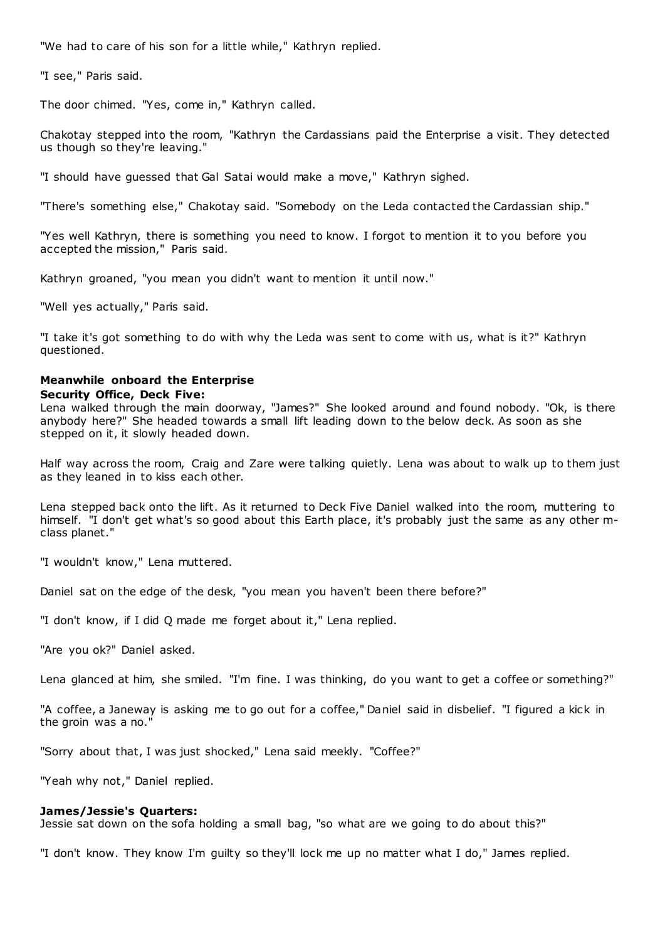"We had to care of his son for a little while," Kathryn replied.

"I see," Paris said.

The door chimed. "Yes, come in," Kathryn called.

Chakotay stepped into the room, "Kathryn the Cardassians paid the Enterprise a visit. They detected us though so they're leaving."

"I should have guessed that Gal Satai would make a move," Kathryn sighed.

"There's something else," Chakotay said. "Somebody on the Leda contacted the Cardassian ship."

"Yes well Kathryn, there is something you need to know. I forgot to mention it to you before you accepted the mission," Paris said.

Kathryn groaned, "you mean you didn't want to mention it until now."

"Well yes actually," Paris said.

"I take it's got something to do with why the Leda was sent to come with us, what is it?" Kathryn questioned.

# **Meanwhile onboard the Enterprise**

## **Security Office, Deck Five:**

Lena walked through the main doorway, "James?" She looked around and found nobody. "Ok, is there anybody here?" She headed towards a small lift leading down to the below deck. As soon as she stepped on it, it slowly headed down.

Half way across the room, Craig and Zare were talking quietly. Lena was about to walk up to them just as they leaned in to kiss each other.

Lena stepped back onto the lift. As it returned to Deck Five Daniel walked into the room, muttering to himself. "I don't get what's so good about this Earth place, it's probably just the same as any other mclass planet."

"I wouldn't know," Lena muttered.

Daniel sat on the edge of the desk, "you mean you haven't been there before?"

"I don't know, if I did Q made me forget about it," Lena replied.

"Are you ok?" Daniel asked.

Lena glanced at him, she smiled. "I'm fine. I was thinking, do you want to get a coffee or something?"

"A coffee, a Janeway is asking me to go out for a coffee," Daniel said in disbelief. "I figured a kick in the groin was a no."

"Sorry about that, I was just shocked," Lena said meekly. "Coffee?"

"Yeah why not," Daniel replied.

## **James/Jessie's Quarters:**

Jessie sat down on the sofa holding a small bag, "so what are we going to do about this?"

"I don't know. They know I'm guilty so they'll lock me up no matter what I do," James replied.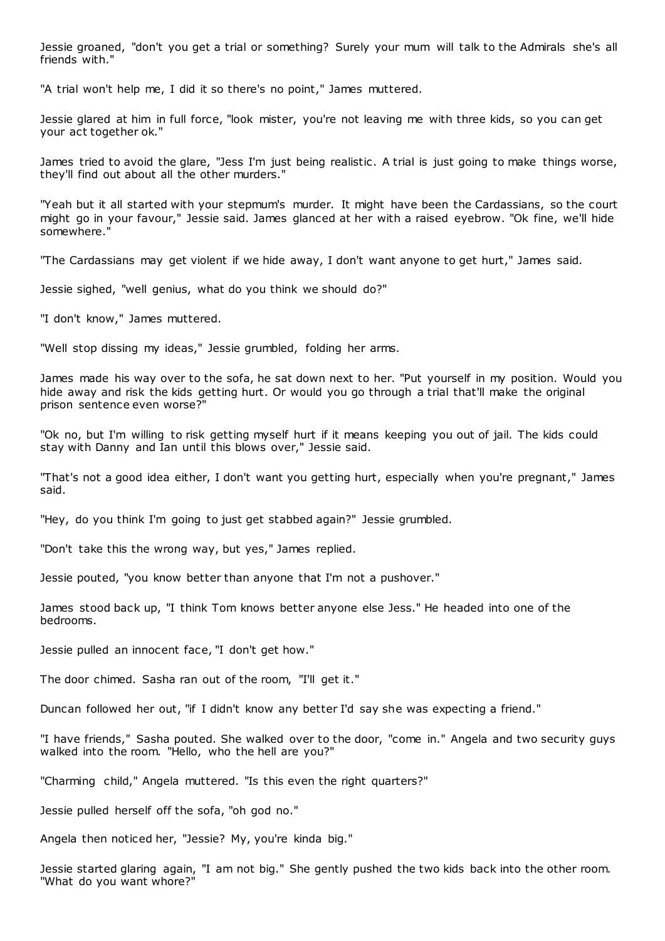Jessie groaned, "don't you get a trial or something? Surely your mum will talk to the Admirals she's all friends with."

"A trial won't help me, I did it so there's no point," James muttered.

Jessie glared at him in full force, "look mister, you're not leaving me with three kids, so you can get your act together ok."

James tried to avoid the glare, "Jess I'm just being realistic . A trial is just going to make things worse, they'll find out about all the other murders."

"Yeah but it all started with your stepmum's murder. It might have been the Cardassians, so the court might go in your favour," Jessie said. James glanced at her with a raised eyebrow. "Ok fine, we'll hide somewhere."

"The Cardassians may get violent if we hide away, I don't want anyone to get hurt," James said.

Jessie sighed, "well genius, what do you think we should do?"

"I don't know," James muttered.

"Well stop dissing my ideas," Jessie grumbled, folding her arms.

James made his way over to the sofa, he sat down next to her. "Put yourself in my position. Would you hide away and risk the kids getting hurt. Or would you go through a trial that'll make the original prison sentence even worse?"

"Ok no, but I'm willing to risk getting myself hurt if it means keeping you out of jail. The kids could stay with Danny and Ian until this blows over," Jessie said.

"That's not a good idea either, I don't want you getting hurt, especially when you're pregnant," James said.

"Hey, do you think I'm going to just get stabbed again?" Jessie grumbled.

"Don't take this the wrong way, but yes," James replied.

Jessie pouted, "you know better than anyone that I'm not a pushover."

James stood back up, "I think Tom knows better anyone else Jess." He headed into one of the bedrooms.

Jessie pulled an innocent face, "I don't get how."

The door chimed. Sasha ran out of the room, "I'll get it."

Duncan followed her out, "if I didn't know any better I'd say she was expecting a friend."

"I have friends," Sasha pouted. She walked over to the door, "come in." Angela and two security guys walked into the room. "Hello, who the hell are you?"

"Charming child," Angela muttered. "Is this even the right quarters?"

Jessie pulled herself off the sofa, "oh god no."

Angela then noticed her, "Jessie? My, you're kinda big."

Jessie started glaring again, "I am not big." She gently pushed the two kids back into the other room. "What do you want whore?"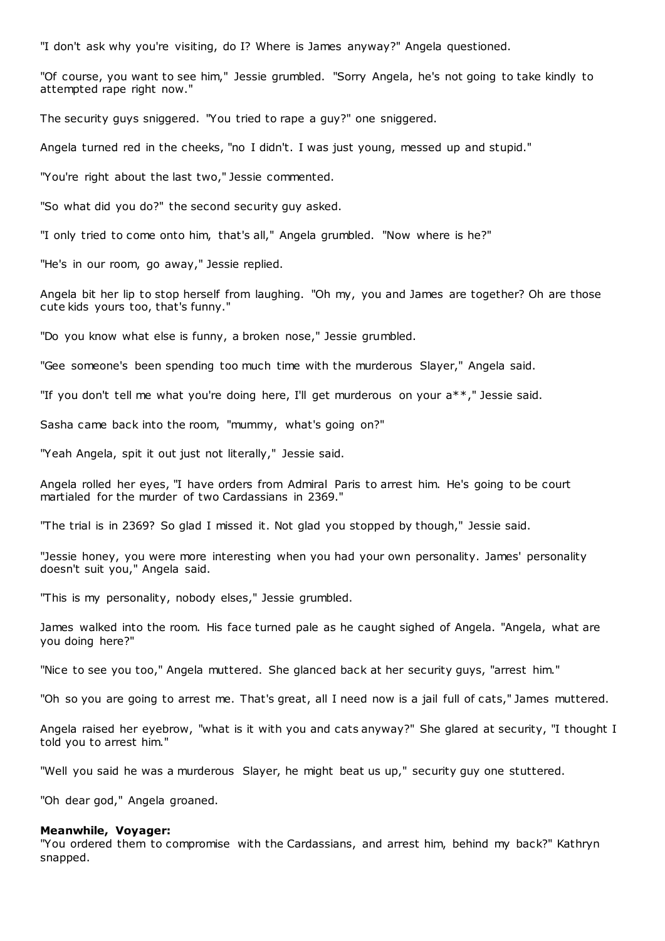"I don't ask why you're visiting, do I? Where is James anyway?" Angela questioned.

"Of course, you want to see him," Jessie grumbled. "Sorry Angela, he's not going to take kindly to attempted rape right now."

The security guys sniggered. "You tried to rape a guy?" one sniggered.

Angela turned red in the cheeks, "no I didn't. I was just young, messed up and stupid."

"You're right about the last two," Jessie commented.

"So what did you do?" the second security guy asked.

"I only tried to come onto him, that's all," Angela grumbled. "Now where is he?"

"He's in our room, go away," Jessie replied.

Angela bit her lip to stop herself from laughing. "Oh my, you and James are together? Oh are those cute kids yours too, that's funny."

"Do you know what else is funny, a broken nose," Jessie grumbled.

"Gee someone's been spending too much time with the murderous Slayer," Angela said.

"If you don't tell me what you're doing here, I'll get murderous on your a\*\*," Jessie said.

Sasha came back into the room, "mummy, what's going on?"

"Yeah Angela, spit it out just not literally," Jessie said.

Angela rolled her eyes, "I have orders from Admiral Paris to arrest him. He's going to be court martialed for the murder of two Cardassians in 2369."

"The trial is in 2369? So glad I missed it. Not glad you stopped by though," Jessie said.

"Jessie honey, you were more interesting when you had your own personality. James' personality doesn't suit you," Angela said.

"This is my personality, nobody elses," Jessie grumbled.

James walked into the room. His face turned pale as he caught sighed of Angela. "Angela, what are you doing here?"

"Nice to see you too," Angela muttered. She glanced back at her security guys, "arrest him."

"Oh so you are going to arrest me. That's great, all I need now is a jail full of cats," James muttered.

Angela raised her eyebrow, "what is it with you and cats anyway?" She glared at security, "I thought I told you to arrest him."

"Well you said he was a murderous Slayer, he might beat us up," security guy one stuttered.

"Oh dear god," Angela groaned.

#### **Meanwhile, Voyager:**

"You ordered them to compromise with the Cardassians, and arrest him, behind my back?" Kathryn snapped.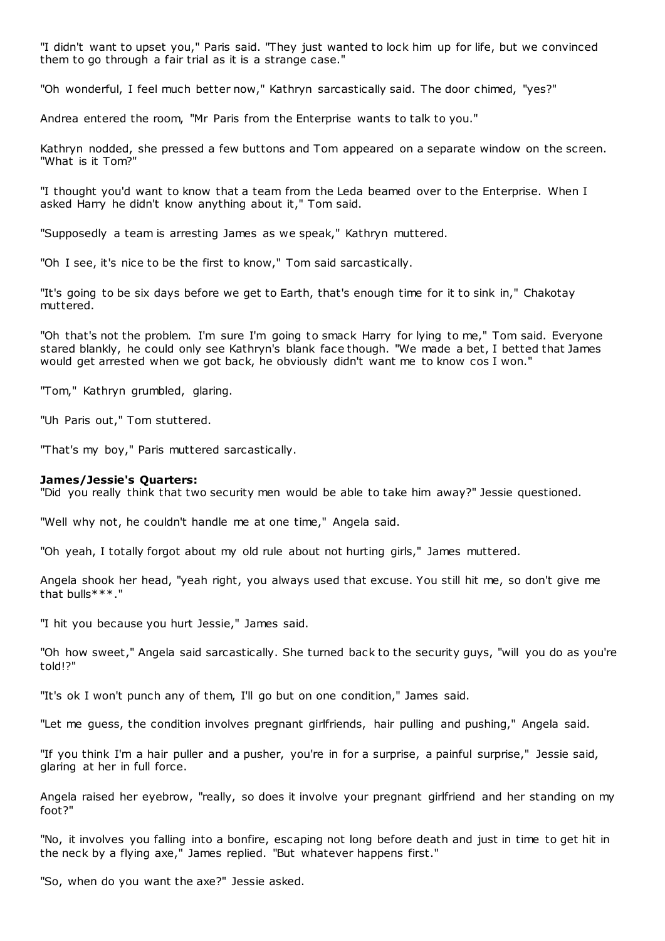"I didn't want to upset you," Paris said. "They just wanted to lock him up for life, but we convinced them to go through a fair trial as it is a strange case."

"Oh wonderful, I feel much better now," Kathryn sarcastically said. The door chimed, "yes?"

Andrea entered the room, "Mr Paris from the Enterprise wants to talk to you."

Kathryn nodded, she pressed a few buttons and Tom appeared on a separate window on the screen. "What is it Tom?"

"I thought you'd want to know that a team from the Leda beamed over to the Enterprise. When I asked Harry he didn't know anything about it," Tom said.

"Supposedly a team is arresting James as we speak," Kathryn muttered.

"Oh I see, it's nice to be the first to know," Tom said sarcastically.

"It's going to be six days before we get to Earth, that's enough time for it to sink in," Chakotay muttered.

"Oh that's not the problem. I'm sure I'm going to smack Harry for lying to me," Tom said. Everyone stared blankly, he could only see Kathryn's blank face though. "We made a bet, I betted that James would get arrested when we got back, he obviously didn't want me to know cos I won."

"Tom," Kathryn grumbled, glaring.

"Uh Paris out," Tom stuttered.

"That's my boy," Paris muttered sarcastically.

#### **James/Jessie's Quarters:**

"Did you really think that two security men would be able to take him away?" Jessie questioned.

"Well why not, he couldn't handle me at one time," Angela said.

"Oh yeah, I totally forgot about my old rule about not hurting girls," James muttered.

Angela shook her head, "yeah right, you always used that excuse. You still hit me, so don't give me that bulls\*\*\*."

"I hit you because you hurt Jessie," James said.

"Oh how sweet," Angela said sarcastically. She turned back to the security guys, "will you do as you're told!?"

"It's ok I won't punch any of them, I'll go but on one condition," James said.

"Let me guess, the condition involves pregnant girlfriends, hair pulling and pushing," Angela said.

"If you think I'm a hair puller and a pusher, you're in for a surprise, a painful surprise," Jessie said, glaring at her in full force.

Angela raised her eyebrow, "really, so does it involve your pregnant girlfriend and her standing on my foot?"

"No, it involves you falling into a bonfire, escaping not long before death and just in time to get hit in the neck by a flying axe," James replied. "But whatever happens first."

"So, when do you want the axe?" Jessie asked.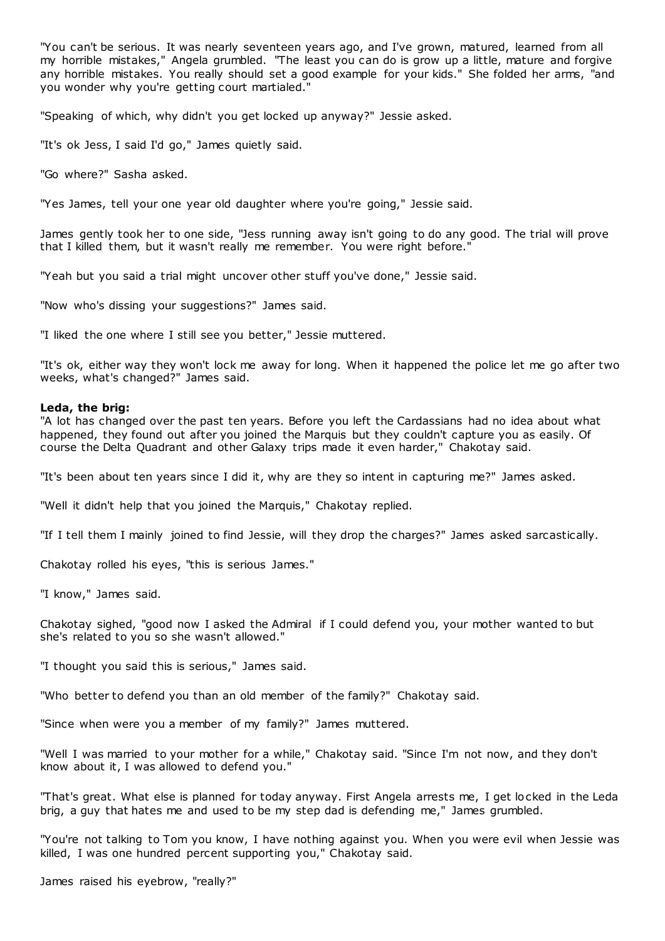"You can't be serious. It was nearly seventeen years ago, and I've grown, matured, learned from all my horrible mistakes," Angela grumbled. "The least you can do is grow up a little, mature and forgive any horrible mistakes. You really should set a good example for your kids." She folded her arms, "and you wonder why you're getting court martialed."

"Speaking of which, why didn't you get locked up anyway?" Jessie asked.

"It's ok Jess, I said I'd go," James quietly said.

"Go where?" Sasha asked.

"Yes James, tell your one year old daughter where you're going," Jessie said.

James gently took her to one side, "Jess running away isn't going to do any good. The trial will prove that I killed them, but it wasn't really me remember. You were right before."

"Yeah but you said a trial might uncover other stuff you've done," Jessie said.

"Now who's dissing your suggestions?" James said.

"I liked the one where I still see you better," Jessie muttered.

"It's ok, either way they won't lock me away for long. When it happened the police let me go after two weeks, what's changed?" James said.

#### **Leda, the brig:**

"A lot has changed over the past ten years. Before you left the Cardassians had no idea about what happened, they found out after you joined the Marquis but they couldn't capture you as easily. Of course the Delta Quadrant and other Galaxy trips made it even harder," Chakotay said.

"It's been about ten years since I did it, why are they so intent in capturing me?" James asked.

"Well it didn't help that you joined the Marquis," Chakotay replied.

"If I tell them I mainly joined to find Jessie, will they drop the charges?" James asked sarcastically.

Chakotay rolled his eyes, "this is serious James."

"I know," James said.

Chakotay sighed, "good now I asked the Admiral if I could defend you, your mother wanted to but she's related to you so she wasn't allowed."

"I thought you said this is serious," James said.

"Who better to defend you than an old member of the family?" Chakotay said.

"Since when were you a member of my family?" James muttered.

"Well I was married to your mother for a while," Chakotay said. "Since I'm not now, and they don't know about it, I was allowed to defend you."

"That's great. What else is planned for today anyway. First Angela arrests me, I get locked in the Leda brig, a guy that hates me and used to be my step dad is defending me," James grumbled.

"You're not talking to Tom you know, I have nothing against you. When you were evil when Jessie was killed, I was one hundred percent supporting you," Chakotay said.

James raised his eyebrow, "really?"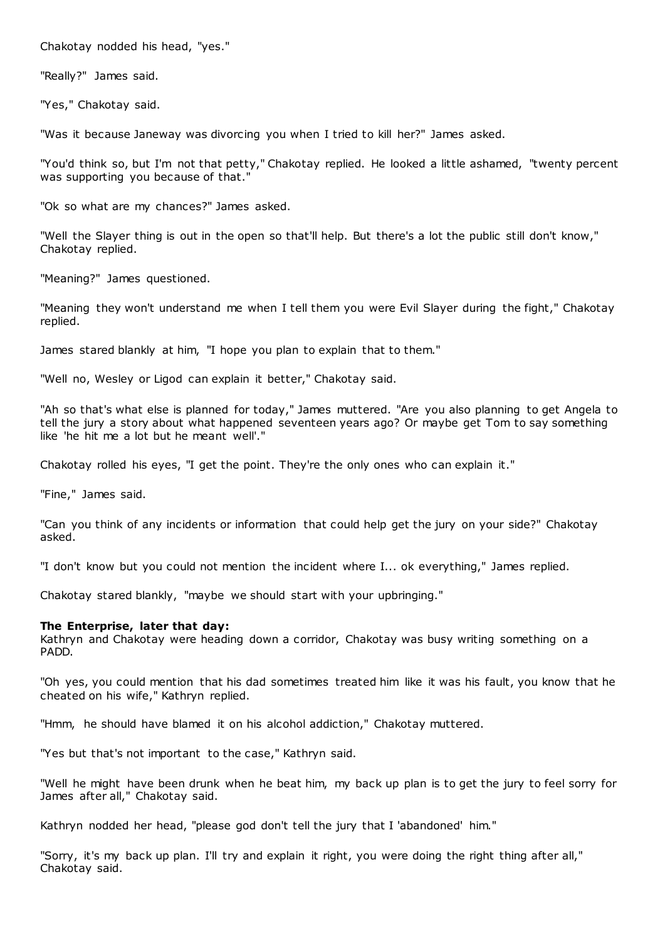Chakotay nodded his head, "yes."

"Really?" James said.

"Yes," Chakotay said.

"Was it because Janeway was divorcing you when I tried to kill her?" James asked.

"You'd think so, but I'm not that petty," Chakotay replied. He looked a little ashamed, "twenty percent was supporting you because of that."

"Ok so what are my chances?" James asked.

"Well the Slayer thing is out in the open so that'll help. But there's a lot the public still don't know," Chakotay replied.

"Meaning?" James questioned.

"Meaning they won't understand me when I tell them you were Evil Slayer during the fight," Chakotay replied.

James stared blankly at him, "I hope you plan to explain that to them."

"Well no, Wesley or Ligod can explain it better," Chakotay said.

"Ah so that's what else is planned for today," James muttered. "Are you also planning to get Angela to tell the jury a story about what happened seventeen years ago? Or maybe get Tom to say something like 'he hit me a lot but he meant well'."

Chakotay rolled his eyes, "I get the point. They're the only ones who can explain it."

"Fine," James said.

"Can you think of any incidents or information that could help get the jury on your side?" Chakotay asked.

"I don't know but you could not mention the incident where I... ok everything," James replied.

Chakotay stared blankly, "maybe we should start with your upbringing."

#### **The Enterprise, later that day:**

Kathryn and Chakotay were heading down a corridor, Chakotay was busy writing something on a PADD.

"Oh yes, you could mention that his dad sometimes treated him like it was his fault, you know that he cheated on his wife," Kathryn replied.

"Hmm, he should have blamed it on his alcohol addiction," Chakotay muttered.

"Yes but that's not important to the case," Kathryn said.

"Well he might have been drunk when he beat him, my back up plan is to get the jury to feel sorry for James after all," Chakotay said.

Kathryn nodded her head, "please god don't tell the jury that I 'abandoned' him."

"Sorry, it's my back up plan. I'll try and explain it right, you were doing the right thing after all," Chakotay said.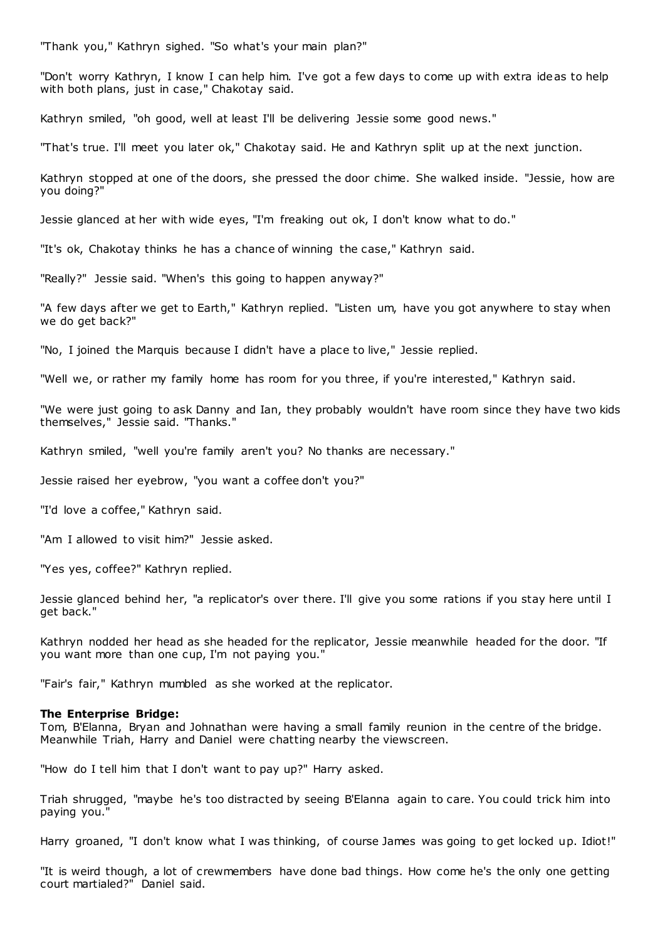"Thank you," Kathryn sighed. "So what's your main plan?"

"Don't worry Kathryn, I know I can help him. I've got a few days to come up with extra ideas to help with both plans, just in case," Chakotay said.

Kathryn smiled, "oh good, well at least I'll be delivering Jessie some good news."

"That's true. I'll meet you later ok," Chakotay said. He and Kathryn split up at the next junction.

Kathryn stopped at one of the doors, she pressed the door chime. She walked inside. "Jessie, how are you doing?"

Jessie glanced at her with wide eyes, "I'm freaking out ok, I don't know what to do."

"It's ok, Chakotay thinks he has a chance of winning the case," Kathryn said.

"Really?" Jessie said. "When's this going to happen anyway?"

"A few days after we get to Earth," Kathryn replied. "Listen um, have you got anywhere to stay when we do get back?"

"No, I joined the Marquis because I didn't have a place to live," Jessie replied.

"Well we, or rather my family home has room for you three, if you're interested," Kathryn said.

"We were just going to ask Danny and Ian, they probably wouldn't have room since they have two kids themselves," Jessie said. "Thanks."

Kathryn smiled, "well you're family aren't you? No thanks are necessary."

Jessie raised her eyebrow, "you want a coffee don't you?"

"I'd love a coffee," Kathryn said.

"Am I allowed to visit him?" Jessie asked.

"Yes yes, coffee?" Kathryn replied.

Jessie glanced behind her, "a replicator's over there. I'll give you some rations if you stay here until I get back."

Kathryn nodded her head as she headed for the replicator, Jessie meanwhile headed for the door. "If you want more than one cup, I'm not paying you."

"Fair's fair," Kathryn mumbled as she worked at the replicator.

### **The Enterprise Bridge:**

Tom, B'Elanna, Bryan and Johnathan were having a small family reunion in the centre of the bridge. Meanwhile Triah, Harry and Daniel were chatting nearby the viewscreen.

"How do I tell him that I don't want to pay up?" Harry asked.

Triah shrugged, "maybe he's too distracted by seeing B'Elanna again to care. You could trick him into paying you."

Harry groaned, "I don't know what I was thinking, of course James was going to get locked up. Idiot!"

"It is weird though, a lot of crewmembers have done bad things. How come he's the only one getting court martialed?" Daniel said.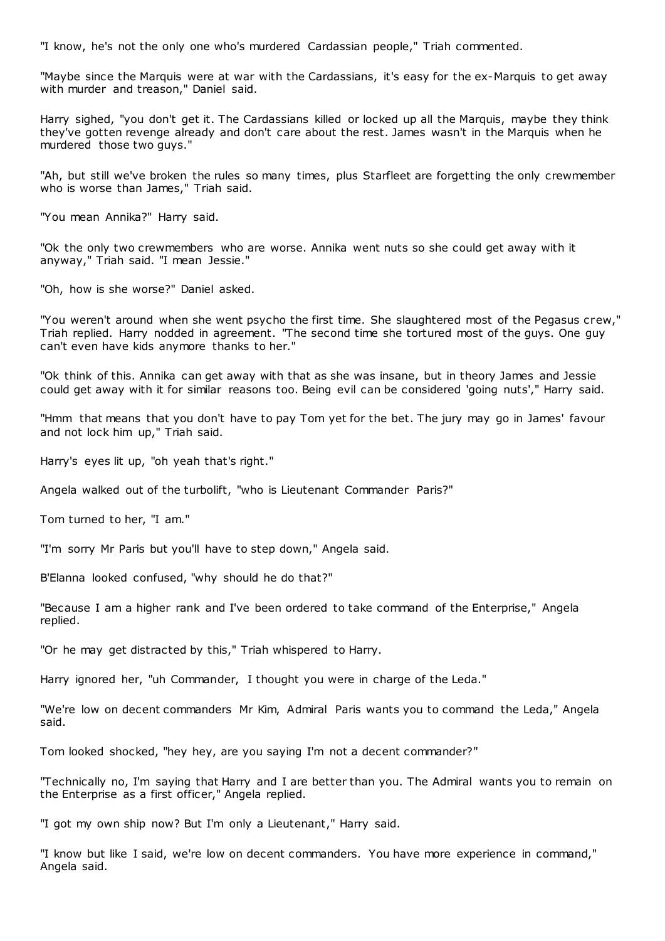"I know, he's not the only one who's murdered Cardassian people," Triah commented.

"Maybe since the Marquis were at war with the Cardassians, it's easy for the ex-Marquis to get away with murder and treason," Daniel said.

Harry sighed, "you don't get it. The Cardassians killed or locked up all the Marquis, maybe they think they've gotten revenge already and don't care about the rest. James wasn't in the Marquis when he murdered those two guys."

"Ah, but still we've broken the rules so many times, plus Starfleet are forgetting the only crewmember who is worse than James," Triah said.

"You mean Annika?" Harry said.

"Ok the only two crewmembers who are worse. Annika went nuts so she could get away with it anyway," Triah said. "I mean Jessie."

"Oh, how is she worse?" Daniel asked.

"You weren't around when she went psycho the first time. She slaughtered most of the Pegasus crew," Triah replied. Harry nodded in agreement. "The second time she tortured most of the guys. One guy can't even have kids anymore thanks to her."

"Ok think of this. Annika can get away with that as she was insane, but in theory James and Jessie could get away with it for similar reasons too. Being evil can be considered 'going nuts'," Harry said.

"Hmm that means that you don't have to pay Tom yet for the bet. The jury may go in James' favour and not lock him up," Triah said.

Harry's eyes lit up, "oh yeah that's right."

Angela walked out of the turbolift, "who is Lieutenant Commander Paris?"

Tom turned to her, "I am."

"I'm sorry Mr Paris but you'll have to step down," Angela said.

B'Elanna looked confused, "why should he do that?"

"Because I am a higher rank and I've been ordered to take command of the Enterprise," Angela replied.

"Or he may get distracted by this," Triah whispered to Harry.

Harry ignored her, "uh Commander, I thought you were in charge of the Leda."

"We're low on decent commanders Mr Kim, Admiral Paris wants you to command the Leda," Angela said.

Tom looked shocked, "hey hey, are you saying I'm not a decent commander?"

"Technically no, I'm saying that Harry and I are better than you. The Admiral wants you to remain on the Enterprise as a first officer," Angela replied.

"I got my own ship now? But I'm only a Lieutenant," Harry said.

"I know but like I said, we're low on decent commanders. You have more experience in command," Angela said.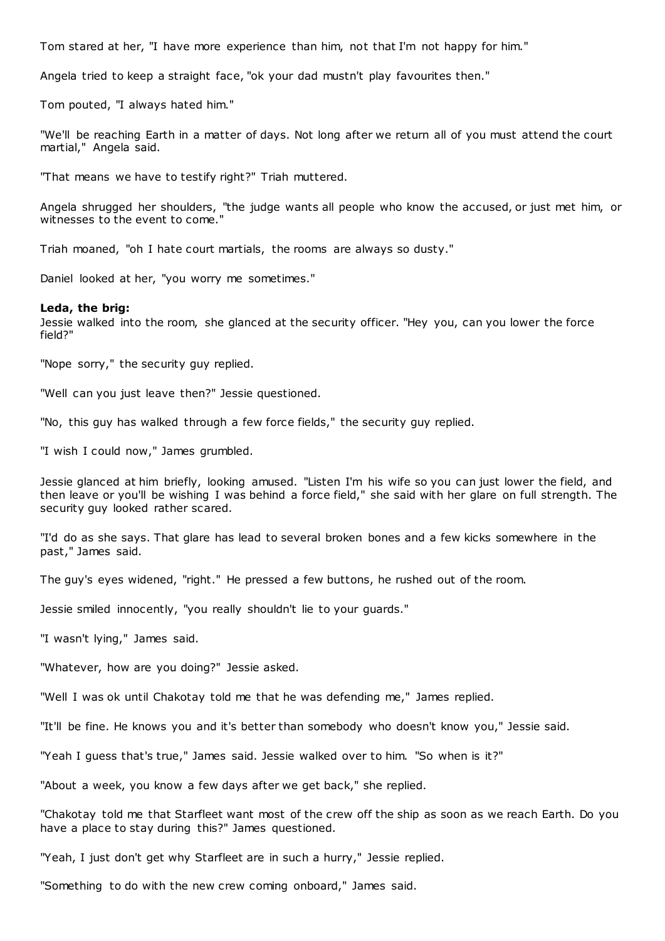Tom stared at her, "I have more experience than him, not that I'm not happy for him."

Angela tried to keep a straight face, "ok your dad mustn't play favourites then."

Tom pouted, "I always hated him."

"We'll be reaching Earth in a matter of days. Not long after we return all of you must attend the court martial," Angela said.

"That means we have to testify right?" Triah muttered.

Angela shrugged her shoulders, "the judge wants all people who know the accused, or just met him, or witnesses to the event to come.

Triah moaned, "oh I hate court martials, the rooms are always so dusty."

Daniel looked at her, "you worry me sometimes."

#### **Leda, the brig:**

Jessie walked into the room, she glanced at the security officer. "Hey you, can you lower the force field?"

"Nope sorry," the security guy replied.

"Well can you just leave then?" Jessie questioned.

"No, this guy has walked through a few force fields," the security guy replied.

"I wish I could now," James grumbled.

Jessie glanced at him briefly, looking amused. "Listen I'm his wife so you can just lower the field, and then leave or you'll be wishing I was behind a force field," she said with her glare on full strength. The security guy looked rather scared.

"I'd do as she says. That glare has lead to several broken bones and a few kicks somewhere in the past," James said.

The guy's eyes widened, "right." He pressed a few buttons, he rushed out of the room.

Jessie smiled innocently, "you really shouldn't lie to your guards."

"I wasn't lying," James said.

"Whatever, how are you doing?" Jessie asked.

"Well I was ok until Chakotay told me that he was defending me," James replied.

"It'll be fine. He knows you and it's better than somebody who doesn't know you," Jessie said.

"Yeah I guess that's true," James said. Jessie walked over to him. "So when is it?"

"About a week, you know a few days after we get back," she replied.

"Chakotay told me that Starfleet want most of the crew off the ship as soon as we reach Earth. Do you have a place to stay during this?" James questioned.

"Yeah, I just don't get why Starfleet are in such a hurry," Jessie replied.

"Something to do with the new crew coming onboard," James said.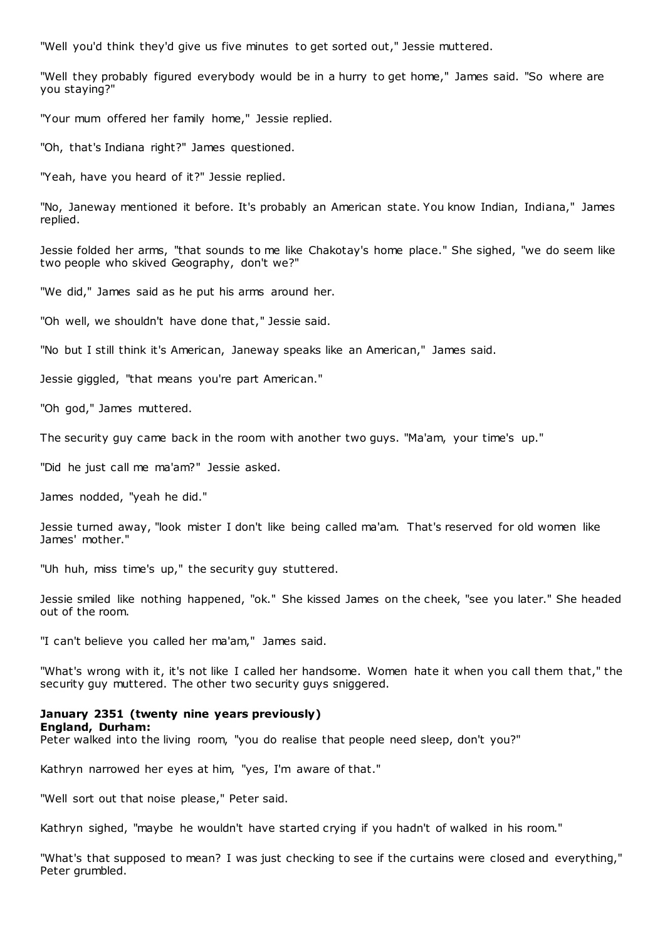"Well you'd think they'd give us five minutes to get sorted out," Jessie muttered.

"Well they probably figured everybody would be in a hurry to get home," James said. "So where are you staying?"

"Your mum offered her family home," Jessie replied.

"Oh, that's Indiana right?" James questioned.

"Yeah, have you heard of it?" Jessie replied.

"No, Janeway mentioned it before. It's probably an American state. You know Indian, Indiana," James replied.

Jessie folded her arms, "that sounds to me like Chakotay's home place." She sighed, "we do seem like two people who skived Geography, don't we?"

"We did," James said as he put his arms around her.

"Oh well, we shouldn't have done that," Jessie said.

"No but I still think it's American, Janeway speaks like an American," James said.

Jessie giggled, "that means you're part American."

"Oh god," James muttered.

The security guy came back in the room with another two guys. "Ma'am, your time's up."

"Did he just call me ma'am?" Jessie asked.

James nodded, "yeah he did."

Jessie turned away, "look mister I don't like being called ma'am. That's reserved for old women like James' mother."

"Uh huh, miss time's up," the security guy stuttered.

Jessie smiled like nothing happened, "ok." She kissed James on the cheek, "see you later." She headed out of the room.

"I can't believe you called her ma'am," James said.

"What's wrong with it, it's not like I called her handsome. Women hate it when you call them that," the security guy muttered. The other two security guys sniggered.

### **January 2351 (twenty nine years previously) England, Durham:**

Peter walked into the living room, "you do realise that people need sleep, don't you?"

Kathryn narrowed her eyes at him, "yes, I'm aware of that."

"Well sort out that noise please," Peter said.

Kathryn sighed, "maybe he wouldn't have started crying if you hadn't of walked in his room."

"What's that supposed to mean? I was just checking to see if the curtains were closed and everything," Peter grumbled.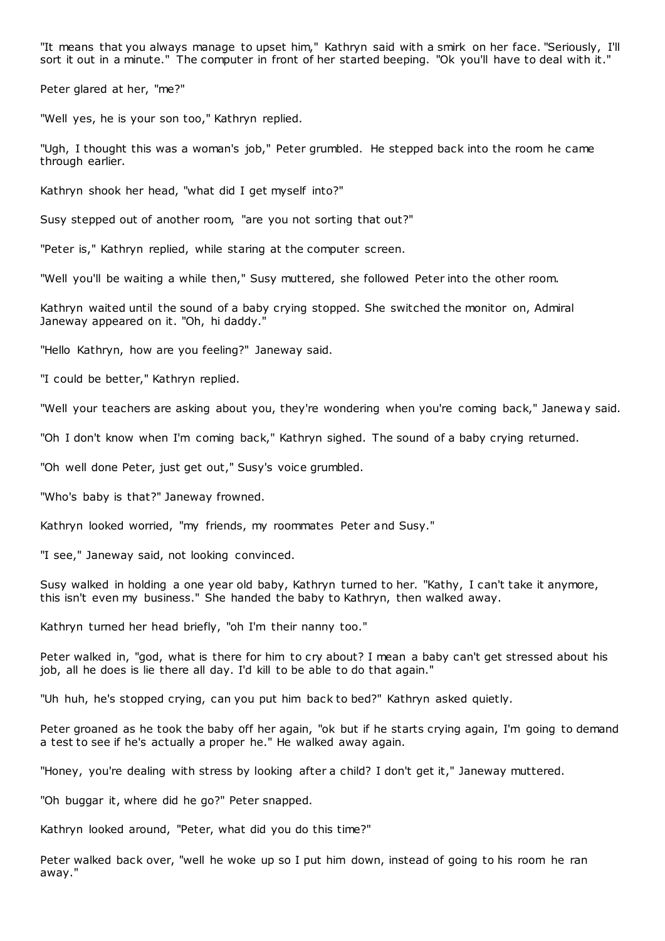"It means that you always manage to upset him," Kathryn said with a smirk on her face. "Seriously, I'll sort it out in a minute." The computer in front of her started beeping. "Ok you'll have to deal with it."

Peter glared at her, "me?"

"Well yes, he is your son too," Kathryn replied.

"Ugh, I thought this was a woman's job," Peter grumbled. He stepped back into the room he came through earlier.

Kathryn shook her head, "what did I get myself into?"

Susy stepped out of another room, "are you not sorting that out?"

"Peter is," Kathryn replied, while staring at the computer screen.

"Well you'll be waiting a while then," Susy muttered, she followed Peter into the other room.

Kathryn waited until the sound of a baby crying stopped. She switched the monitor on, Admiral Janeway appeared on it. "Oh, hi daddy."

"Hello Kathryn, how are you feeling?" Janeway said.

"I could be better," Kathryn replied.

"Well your teachers are asking about you, they're wondering when you're coming back," Janeway said.

"Oh I don't know when I'm coming back," Kathryn sighed. The sound of a baby crying returned.

"Oh well done Peter, just get out," Susy's voice grumbled.

"Who's baby is that?" Janeway frowned.

Kathryn looked worried, "my friends, my roommates Peter and Susy."

"I see," Janeway said, not looking convinced.

Susy walked in holding a one year old baby, Kathryn turned to her. "Kathy, I can't take it anymore, this isn't even my business." She handed the baby to Kathryn, then walked away.

Kathryn turned her head briefly, "oh I'm their nanny too."

Peter walked in, "god, what is there for him to cry about? I mean a baby can't get stressed about his job, all he does is lie there all day. I'd kill to be able to do that again."

"Uh huh, he's stopped crying, can you put him back to bed?" Kathryn asked quietly.

Peter groaned as he took the baby off her again, "ok but if he starts crying again, I'm going to demand a test to see if he's actually a proper he." He walked away again.

"Honey, you're dealing with stress by looking after a child? I don't get it," Janeway muttered.

"Oh buggar it, where did he go?" Peter snapped.

Kathryn looked around, "Peter, what did you do this time?"

Peter walked back over, "well he woke up so I put him down, instead of going to his room he ran away."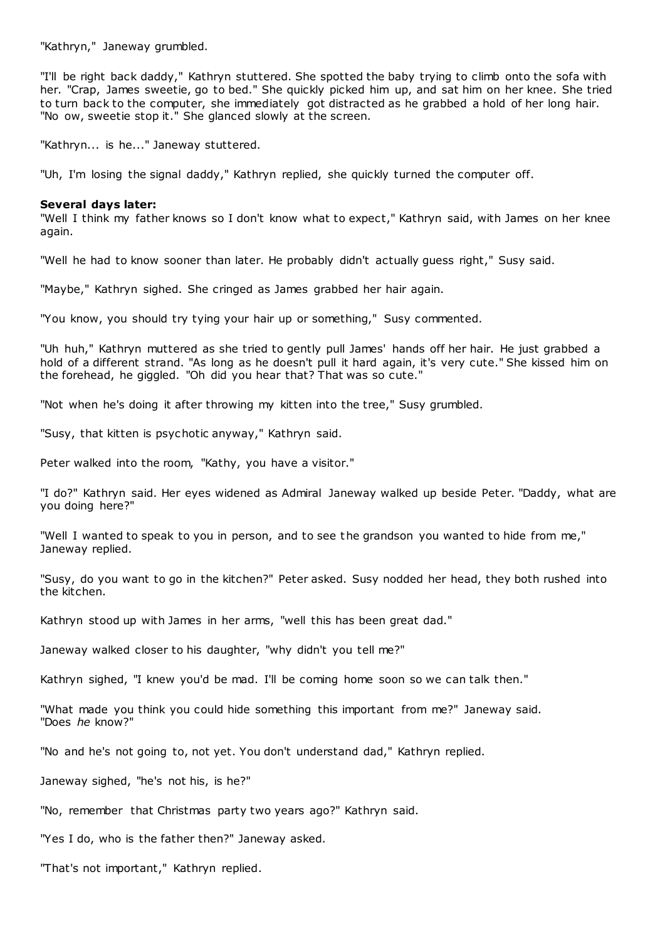"Kathryn," Janeway grumbled.

"I'll be right back daddy," Kathryn stuttered. She spotted the baby trying to climb onto the sofa with her. "Crap, James sweetie, go to bed." She quickly picked him up, and sat him on her knee. She tried to turn back to the computer, she immediately got distracted as he grabbed a hold of her long hair. "No ow, sweetie stop it." She glanced slowly at the screen.

"Kathryn... is he..." Janeway stuttered.

"Uh, I'm losing the signal daddy," Kathryn replied, she quickly turned the computer off.

#### **Several days later:**

"Well I think my father knows so I don't know what to expect," Kathryn said, with James on her knee again.

"Well he had to know sooner than later. He probably didn't actually guess right," Susy said.

"Maybe," Kathryn sighed. She cringed as James grabbed her hair again.

"You know, you should try tying your hair up or something," Susy commented.

"Uh huh," Kathryn muttered as she tried to gently pull James' hands off her hair. He just grabbed a hold of a different strand. "As long as he doesn't pull it hard again, it's very cute." She kissed him on the forehead, he giggled. "Oh did you hear that? That was so cute."

"Not when he's doing it after throwing my kitten into the tree," Susy grumbled.

"Susy, that kitten is psychotic anyway," Kathryn said.

Peter walked into the room, "Kathy, you have a visitor."

"I do?" Kathryn said. Her eyes widened as Admiral Janeway walked up beside Peter. "Daddy, what are you doing here?"

"Well I wanted to speak to you in person, and to see the grandson you wanted to hide from me," Janeway replied.

"Susy, do you want to go in the kitchen?" Peter asked. Susy nodded her head, they both rushed into the kitchen.

Kathryn stood up with James in her arms, "well this has been great dad."

Janeway walked closer to his daughter, "why didn't you tell me?"

Kathryn sighed, "I knew you'd be mad. I'll be coming home soon so we can talk then."

"What made you think you could hide something this important from me?" Janeway said. "Does *he* know?"

"No and he's not going to, not yet. You don't understand dad," Kathryn replied.

Janeway sighed, "he's not his, is he?"

"No, remember that Christmas party two years ago?" Kathryn said.

"Yes I do, who is the father then?" Janeway asked.

"That's not important," Kathryn replied.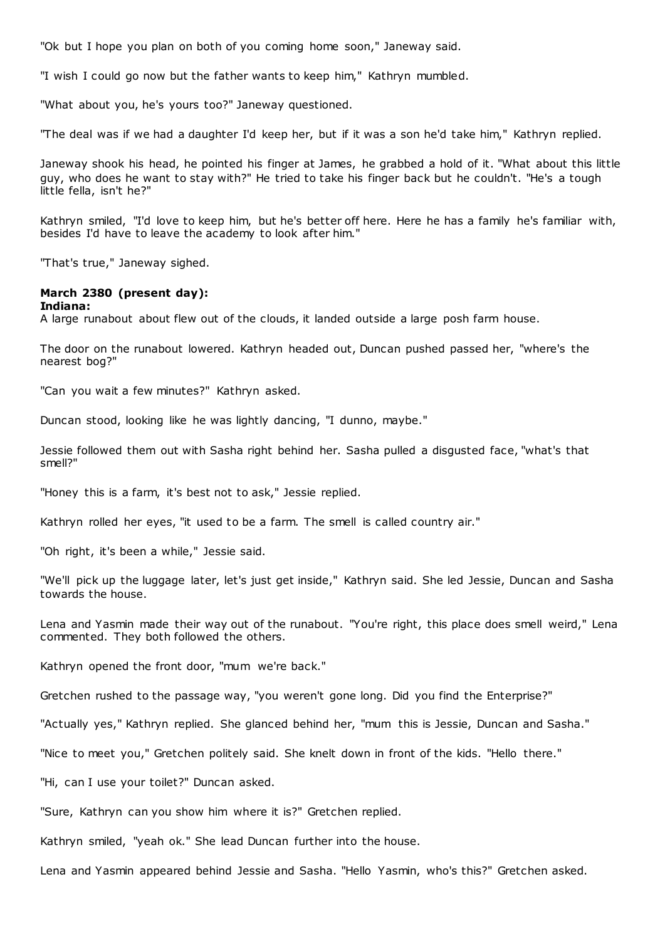"Ok but I hope you plan on both of you coming home soon," Janeway said.

"I wish I could go now but the father wants to keep him," Kathryn mumbled.

"What about you, he's yours too?" Janeway questioned.

"The deal was if we had a daughter I'd keep her, but if it was a son he'd take him," Kathryn replied.

Janeway shook his head, he pointed his finger at James, he grabbed a hold of it. "What about this little guy, who does he want to stay with?" He tried to take his finger back but he couldn't. "He's a tough little fella, isn't he?"

Kathryn smiled, "I'd love to keep him, but he's better off here. Here he has a family he's familiar with, besides I'd have to leave the academy to look after him."

"That's true," Janeway sighed.

## **March 2380 (present day):**

### **Indiana:**

A large runabout about flew out of the clouds, it landed outside a large posh farm house.

The door on the runabout lowered. Kathryn headed out, Duncan pushed passed her, "where's the nearest bog?"

"Can you wait a few minutes?" Kathryn asked.

Duncan stood, looking like he was lightly dancing, "I dunno, maybe."

Jessie followed them out with Sasha right behind her. Sasha pulled a disgusted face, "what's that smell?"

"Honey this is a farm, it's best not to ask," Jessie replied.

Kathryn rolled her eyes, "it used to be a farm. The smell is called country air."

"Oh right, it's been a while," Jessie said.

"We'll pick up the luggage later, let's just get inside," Kathryn said. She led Jessie, Duncan and Sasha towards the house.

Lena and Yasmin made their way out of the runabout. "You're right, this place does smell weird," Lena commented. They both followed the others.

Kathryn opened the front door, "mum we're back."

Gretchen rushed to the passage way, "you weren't gone long. Did you find the Enterprise?"

"Actually yes," Kathryn replied. She glanced behind her, "mum this is Jessie, Duncan and Sasha."

"Nice to meet you," Gretchen politely said. She knelt down in front of the kids. "Hello there."

"Hi, can I use your toilet?" Duncan asked.

"Sure, Kathryn can you show him where it is?" Gretchen replied.

Kathryn smiled, "yeah ok." She lead Duncan further into the house.

Lena and Yasmin appeared behind Jessie and Sasha. "Hello Yasmin, who's this?" Gretchen asked.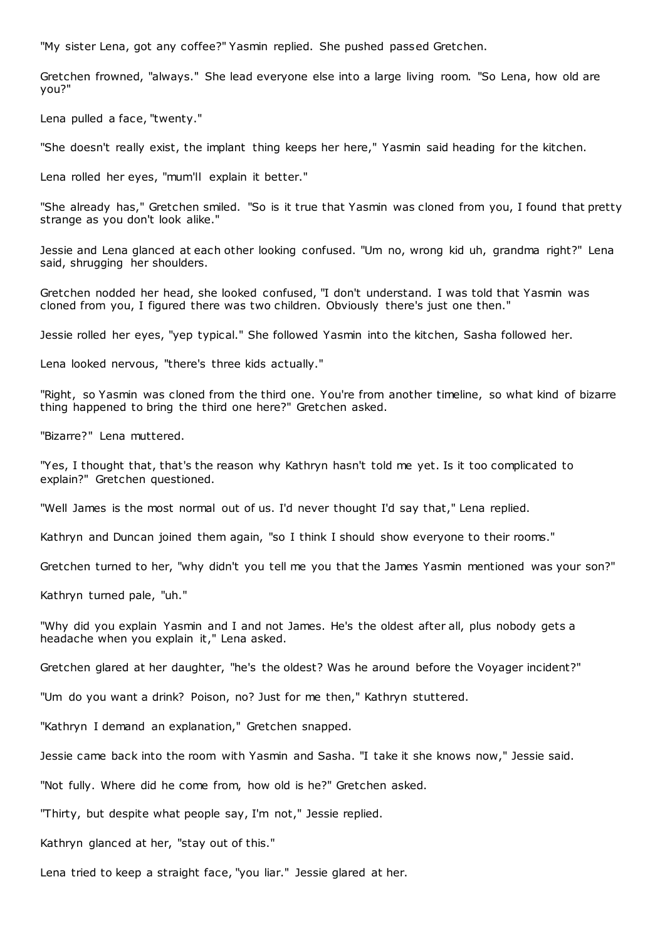"My sister Lena, got any coffee?" Yasmin replied. She pushed passed Gretchen.

Gretchen frowned, "always." She lead everyone else into a large living room. "So Lena, how old are you?"

Lena pulled a face, "twenty."

"She doesn't really exist, the implant thing keeps her here," Yasmin said heading for the kitchen.

Lena rolled her eyes, "mum'll explain it better."

"She already has," Gretchen smiled. "So is it true that Yasmin was cloned from you, I found that pretty strange as you don't look alike."

Jessie and Lena glanced at each other looking confused. "Um no, wrong kid uh, grandma right?" Lena said, shrugging her shoulders.

Gretchen nodded her head, she looked confused, "I don't understand. I was told that Yasmin was cloned from you, I figured there was two children. Obviously there's just one then."

Jessie rolled her eyes, "yep typical." She followed Yasmin into the kitchen, Sasha followed her.

Lena looked nervous, "there's three kids actually."

"Right, so Yasmin was cloned from the third one. You're from another timeline, so what kind of bizarre thing happened to bring the third one here?" Gretchen asked.

"Bizarre?" Lena muttered.

"Yes, I thought that, that's the reason why Kathryn hasn't told me yet. Is it too complicated to explain?" Gretchen questioned.

"Well James is the most normal out of us. I'd never thought I'd say that," Lena replied.

Kathryn and Duncan joined them again, "so I think I should show everyone to their rooms."

Gretchen turned to her, "why didn't you tell me you that the James Yasmin mentioned was your son?"

Kathryn turned pale, "uh."

"Why did you explain Yasmin and I and not James. He's the oldest after all, plus nobody gets a headache when you explain it," Lena asked.

Gretchen glared at her daughter, "he's the oldest? Was he around before the Voyager incident?"

"Um do you want a drink? Poison, no? Just for me then," Kathryn stuttered.

"Kathryn I demand an explanation," Gretchen snapped.

Jessie came back into the room with Yasmin and Sasha. "I take it she knows now," Jessie said.

"Not fully. Where did he come from, how old is he?" Gretchen asked.

"Thirty, but despite what people say, I'm not," Jessie replied.

Kathryn glanced at her, "stay out of this."

Lena tried to keep a straight face, "you liar." Jessie glared at her.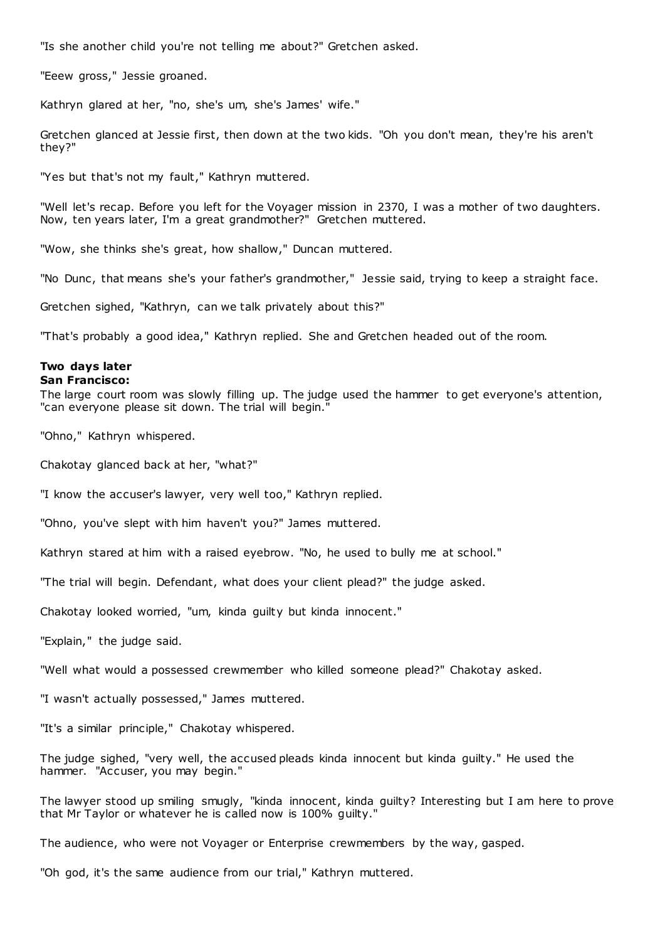"Is she another child you're not telling me about?" Gretchen asked.

"Eeew gross," Jessie groaned.

Kathryn glared at her, "no, she's um, she's James' wife."

Gretchen glanced at Jessie first, then down at the two kids. "Oh you don't mean, they're his aren't they?"

"Yes but that's not my fault," Kathryn muttered.

"Well let's recap. Before you left for the Voyager mission in 2370, I was a mother of two daughters. Now, ten years later, I'm a great grandmother?" Gretchen muttered.

"Wow, she thinks she's great, how shallow," Duncan muttered.

"No Dunc, that means she's your father's grandmother," Jessie said, trying to keep a straight face.

Gretchen sighed, "Kathryn, can we talk privately about this?"

"That's probably a good idea," Kathryn replied. She and Gretchen headed out of the room.

# **Two days later**

## **San Francisco:**

The large court room was slowly filling up. The judge used the hammer to get everyone's attention, "can everyone please sit down. The trial will begin."

"Ohno," Kathryn whispered.

Chakotay glanced back at her, "what?"

"I know the accuser's lawyer, very well too," Kathryn replied.

"Ohno, you've slept with him haven't you?" James muttered.

Kathryn stared at him with a raised eyebrow. "No, he used to bully me at school."

"The trial will begin. Defendant, what does your client plead?" the judge asked.

Chakotay looked worried, "um, kinda guilty but kinda innocent."

"Explain," the judge said.

"Well what would a possessed crewmember who killed someone plead?" Chakotay asked.

"I wasn't actually possessed," James muttered.

"It's a similar principle," Chakotay whispered.

The judge sighed, "very well, the accused pleads kinda innocent but kinda guilty." He used the hammer. "Accuser, you may begin."

The lawyer stood up smiling smugly, "kinda innocent, kinda guilty? Interesting but I am here to prove that Mr Taylor or whatever he is called now is 100% guilty."

The audience, who were not Voyager or Enterprise crewmembers by the way, gasped.

"Oh god, it's the same audience from our trial," Kathryn muttered.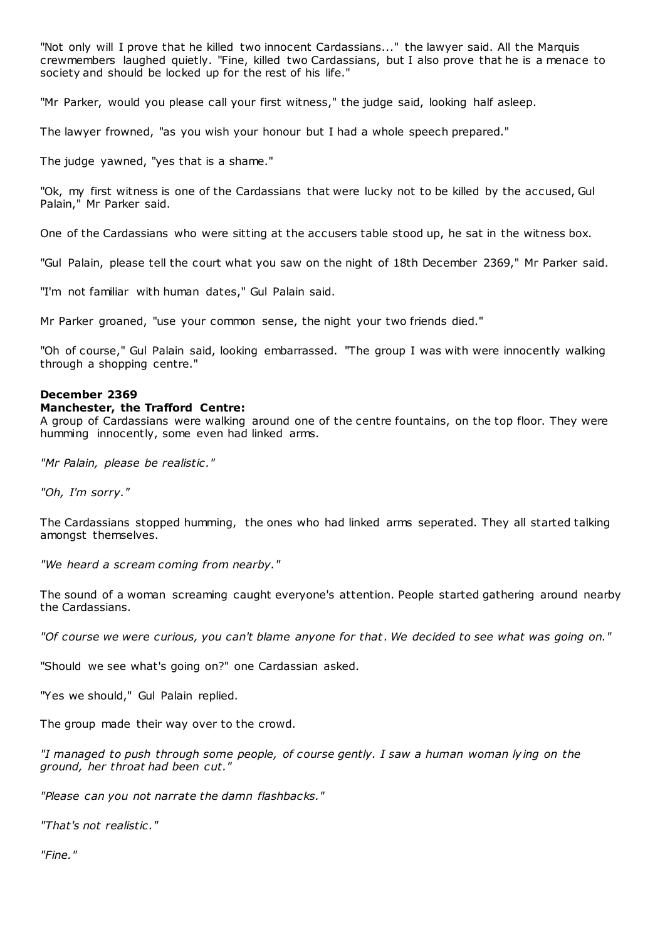"Not only will I prove that he killed two innocent Cardassians..." the lawyer said. All the Marquis crewmembers laughed quietly. "Fine, killed two Cardassians, but I also prove that he is a menace to society and should be locked up for the rest of his life."

"Mr Parker, would you please call your first witness," the judge said, looking half asleep.

The lawyer frowned, "as you wish your honour but I had a whole speech prepared."

The judge yawned, "yes that is a shame."

"Ok, my first witness is one of the Cardassians that were lucky not to be killed by the accused, Gul Palain," Mr Parker said.

One of the Cardassians who were sitting at the accusers table stood up, he sat in the witness box.

"Gul Palain, please tell the court what you saw on the night of 18th December 2369," Mr Parker said.

"I'm not familiar with human dates," Gul Palain said.

Mr Parker groaned, "use your common sense, the night your two friends died."

"Oh of course," Gul Palain said, looking embarrassed. "The group I was with were innocently walking through a shopping centre."

## **December 2369**

## **Manchester, the Trafford Centre:**

A group of Cardassians were walking around one of the centre fountains, on the top floor. They were humming innocently, some even had linked arms.

*"Mr Palain, please be realistic ."*

*"Oh, I'm sorry."*

The Cardassians stopped humming, the ones who had linked arms seperated. They all started talking amongst themselves.

*"We heard a scream coming from nearby."*

The sound of a woman screaming caught everyone's attention. People started gathering around nearby the Cardassians.

*"Of course we were curious, you can't blame anyone for that. We decided to see what was going on."*

"Should we see what's going on?" one Cardassian asked.

"Yes we should," Gul Palain replied.

The group made their way over to the crowd.

*"I managed to push through some people, of course gently. I saw a human woman lying on the ground, her throat had been cut."*

*"Please can you not narrate the damn flashbacks."*

*"That's not realistic ."*

*"Fine."*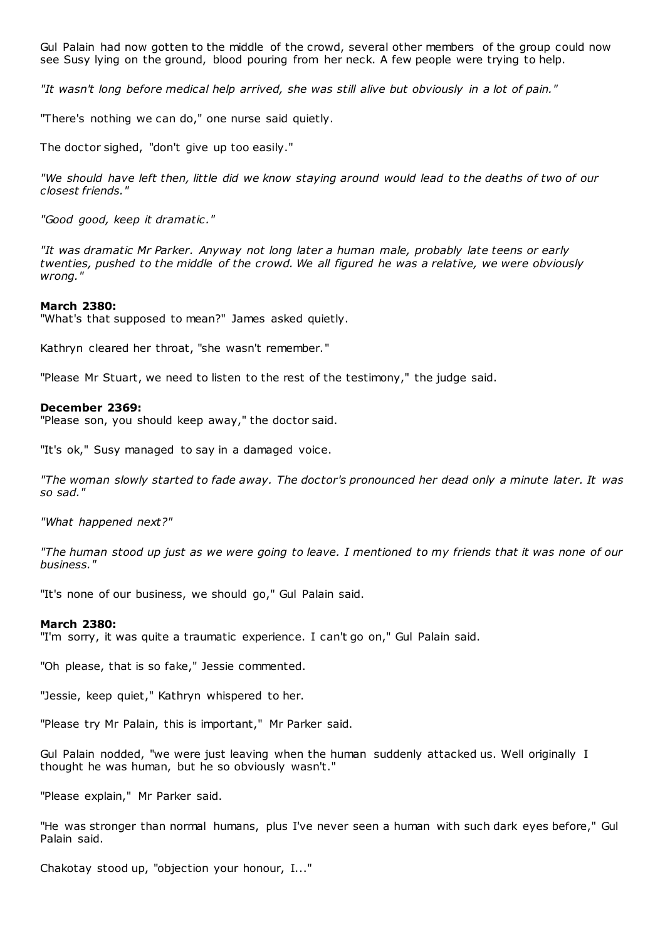Gul Palain had now gotten to the middle of the crowd, several other members of the group could now see Susy lying on the ground, blood pouring from her neck. A few people were trying to help.

*"It wasn't long before medical help arrived, she was still alive but obviously in a lot of pain."*

"There's nothing we can do," one nurse said quietly.

The doctor sighed, "don't give up too easily."

*"We should have left then, little did we know staying around would lead to the deaths of two of our closest friends."*

*"Good good, keep it dramatic ."*

*"It was dramatic Mr Parker. Anyway not long later a human male, probably late teens or early twenties, pushed to the middle of the crowd. We all figured he was a relative, we were obviously wrong."*

#### **March 2380:**

"What's that supposed to mean?" James asked quietly.

Kathryn cleared her throat, "she wasn't remember."

"Please Mr Stuart, we need to listen to the rest of the testimony," the judge said.

#### **December 2369:**

"Please son, you should keep away," the doctor said.

"It's ok," Susy managed to say in a damaged voice.

*"The woman slowly started to fade away. The doctor's pronounced her dead only a minute later. It was so sad."*

*"What happened next?"*

*"The human stood up just as we were going to leave. I mentioned to my friends that it was none of our business."*

"It's none of our business, we should go," Gul Palain said.

#### **March 2380:**

"I'm sorry, it was quite a traumatic experience. I can't go on," Gul Palain said.

"Oh please, that is so fake," Jessie commented.

"Jessie, keep quiet," Kathryn whispered to her.

"Please try Mr Palain, this is important," Mr Parker said.

Gul Palain nodded, "we were just leaving when the human suddenly attacked us. Well originally I thought he was human, but he so obviously wasn't."

"Please explain," Mr Parker said.

"He was stronger than normal humans, plus I've never seen a human with such dark eyes before," Gul Palain said.

Chakotay stood up, "objection your honour, I..."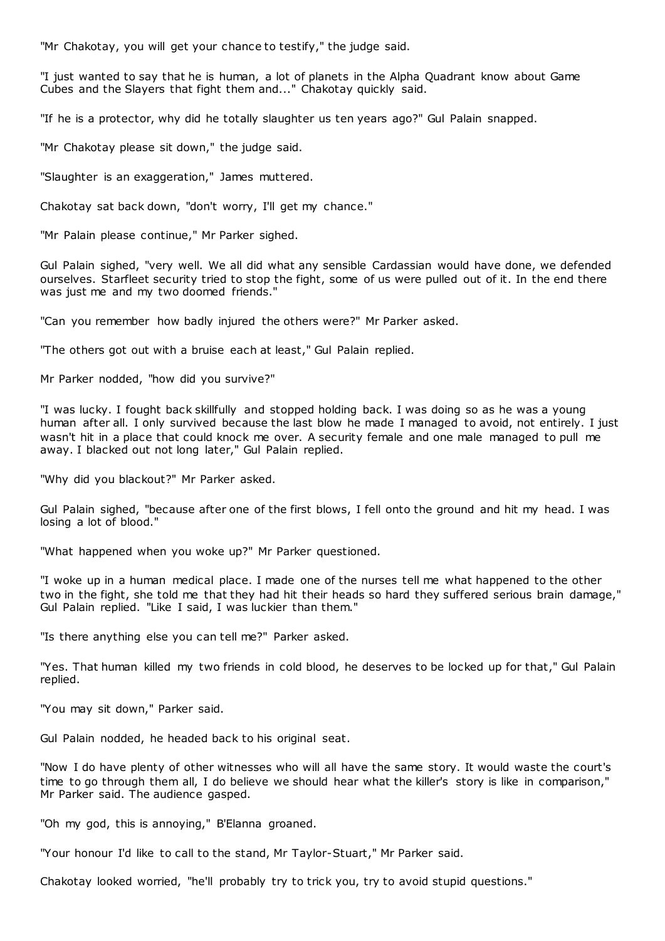"Mr Chakotay, you will get your chance to testify," the judge said.

"I just wanted to say that he is human, a lot of planets in the Alpha Quadrant know about Game Cubes and the Slayers that fight them and..." Chakotay quickly said.

"If he is a protector, why did he totally slaughter us ten years ago?" Gul Palain snapped.

"Mr Chakotay please sit down," the judge said.

"Slaughter is an exaggeration," James muttered.

Chakotay sat back down, "don't worry, I'll get my chance."

"Mr Palain please continue," Mr Parker sighed.

Gul Palain sighed, "very well. We all did what any sensible Cardassian would have done, we defended ourselves. Starfleet security tried to stop the fight, some of us were pulled out of it. In the end there was just me and my two doomed friends."

"Can you remember how badly injured the others were?" Mr Parker asked.

"The others got out with a bruise each at least," Gul Palain replied.

Mr Parker nodded, "how did you survive?"

"I was lucky. I fought back skillfully and stopped holding back. I was doing so as he was a young human after all. I only survived because the last blow he made I managed to avoid, not entirely. I just wasn't hit in a place that could knock me over. A security female and one male managed to pull me away. I blacked out not long later," Gul Palain replied.

"Why did you blackout?" Mr Parker asked.

Gul Palain sighed, "because after one of the first blows, I fell onto the ground and hit my head. I was losing a lot of blood."

"What happened when you woke up?" Mr Parker questioned.

"I woke up in a human medical place. I made one of the nurses tell me what happened to the other two in the fight, she told me that they had hit their heads so hard they suffered serious brain damage," Gul Palain replied. "Like I said, I was luckier than them."

"Is there anything else you can tell me?" Parker asked.

"Yes. That human killed my two friends in cold blood, he deserves to be locked up for that," Gul Palain replied.

"You may sit down," Parker said.

Gul Palain nodded, he headed back to his original seat.

"Now I do have plenty of other witnesses who will all have the same story. It would waste the court's time to go through them all, I do believe we should hear what the killer's story is like in comparison," Mr Parker said. The audience gasped.

"Oh my god, this is annoying," B'Elanna groaned.

"Your honour I'd like to call to the stand, Mr Taylor-Stuart," Mr Parker said.

Chakotay looked worried, "he'll probably try to trick you, try to avoid stupid questions."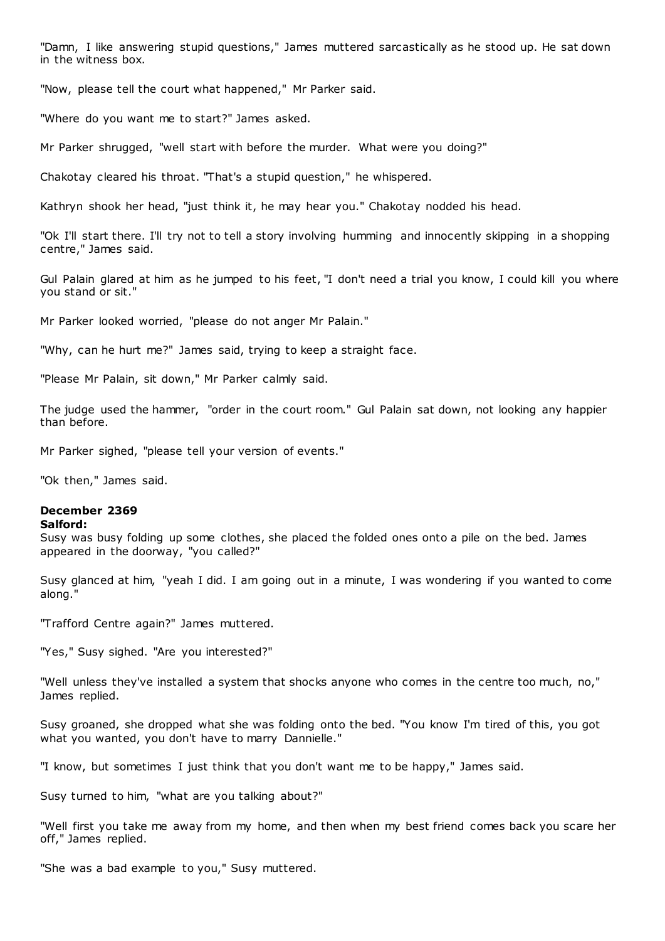"Damn, I like answering stupid questions," James muttered sarcastically as he stood up. He sat down in the witness box.

"Now, please tell the court what happened," Mr Parker said.

"Where do you want me to start?" James asked.

Mr Parker shrugged, "well start with before the murder. What were you doing?"

Chakotay cleared his throat. "That's a stupid question," he whispered.

Kathryn shook her head, "just think it, he may hear you." Chakotay nodded his head.

"Ok I'll start there. I'll try not to tell a story involving humming and innocently skipping in a shopping centre," James said.

Gul Palain glared at him as he jumped to his feet, "I don't need a trial you know, I could kill you where you stand or sit."

Mr Parker looked worried, "please do not anger Mr Palain."

"Why, can he hurt me?" James said, trying to keep a straight face.

"Please Mr Palain, sit down," Mr Parker calmly said.

The judge used the hammer, "order in the court room." Gul Palain sat down, not looking any happier than before.

Mr Parker sighed, "please tell your version of events."

"Ok then," James said.

## **December 2369**

#### **Salford:**

Susy was busy folding up some clothes, she placed the folded ones onto a pile on the bed. James appeared in the doorway, "you called?"

Susy glanced at him, "yeah I did. I am going out in a minute, I was wondering if you wanted to come along."

"Trafford Centre again?" James muttered.

"Yes," Susy sighed. "Are you interested?"

"Well unless they've installed a system that shocks anyone who comes in the centre too much, no," James replied.

Susy groaned, she dropped what she was folding onto the bed. "You know I'm tired of this, you got what you wanted, you don't have to marry Dannielle."

"I know, but sometimes I just think that you don't want me to be happy," James said.

Susy turned to him, "what are you talking about?"

"Well first you take me away from my home, and then when my best friend comes back you scare her off," James replied.

"She was a bad example to you," Susy muttered.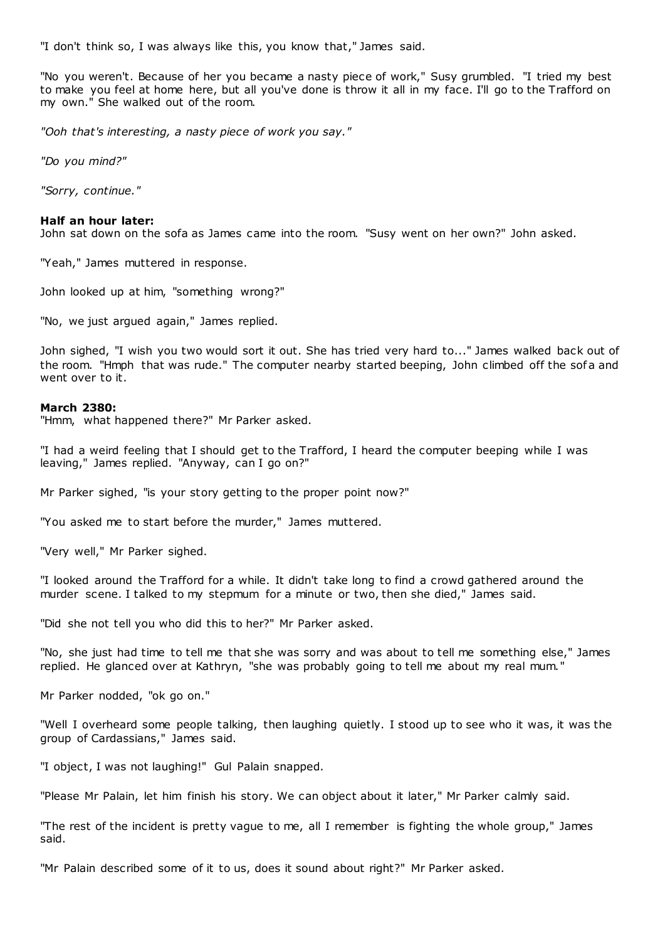"I don't think so, I was always like this, you know that," James said.

"No you weren't. Because of her you became a nasty piece of work," Susy grumbled. "I tried my best to make you feel at home here, but all you've done is throw it all in my face. I'll go to the Trafford on my own." She walked out of the room.

*"Ooh that's interesting, a nasty piece of work you say."*

*"Do you mind?"*

*"Sorry, continue."*

## **Half an hour later:**

John sat down on the sofa as James came into the room. "Susy went on her own?" John asked.

"Yeah," James muttered in response.

John looked up at him, "something wrong?"

"No, we just argued again," James replied.

John sighed, "I wish you two would sort it out. She has tried very hard to..." James walked back out of the room. "Hmph that was rude." The computer nearby started beeping, John climbed off the sofa and went over to it.

## **March 2380:**

"Hmm, what happened there?" Mr Parker asked.

"I had a weird feeling that I should get to the Trafford, I heard the computer beeping while I was leaving," James replied. "Anyway, can I go on?"

Mr Parker sighed, "is your story getting to the proper point now?"

"You asked me to start before the murder," James muttered.

"Very well," Mr Parker sighed.

"I looked around the Trafford for a while. It didn't take long to find a crowd gathered around the murder scene. I talked to my stepmum for a minute or two, then she died," James said.

"Did she not tell you who did this to her?" Mr Parker asked.

"No, she just had time to tell me that she was sorry and was about to tell me something else," James replied. He glanced over at Kathryn, "she was probably going to tell me about my real mum."

Mr Parker nodded, "ok go on."

"Well I overheard some people talking, then laughing quietly. I stood up to see who it was, it was the group of Cardassians," James said.

"I object, I was not laughing!" Gul Palain snapped.

"Please Mr Palain, let him finish his story. We can object about it later," Mr Parker calmly said.

"The rest of the incident is pretty vague to me, all I remember is fighting the whole group," James said.

"Mr Palain described some of it to us, does it sound about right?" Mr Parker asked.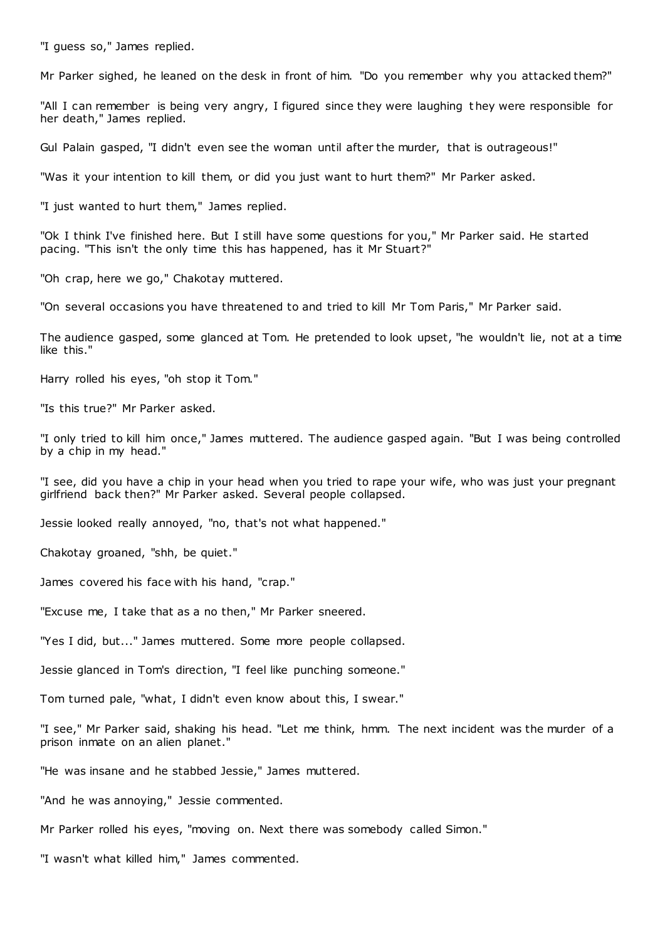"I guess so," James replied.

Mr Parker sighed, he leaned on the desk in front of him. "Do you remember why you attacked them?"

"All I can remember is being very angry, I figured since they were laughing t hey were responsible for her death," James replied.

Gul Palain gasped, "I didn't even see the woman until after the murder, that is outrageous!"

"Was it your intention to kill them, or did you just want to hurt them?" Mr Parker asked.

"I just wanted to hurt them," James replied.

"Ok I think I've finished here. But I still have some questions for you," Mr Parker said. He started pacing. "This isn't the only time this has happened, has it Mr Stuart?"

"Oh crap, here we go," Chakotay muttered.

"On several occasions you have threatened to and tried to kill Mr Tom Paris," Mr Parker said.

The audience gasped, some glanced at Tom. He pretended to look upset, "he wouldn't lie, not at a time like this."

Harry rolled his eyes, "oh stop it Tom."

"Is this true?" Mr Parker asked.

"I only tried to kill him once," James muttered. The audience gasped again. "But I was being controlled by a chip in my head."

"I see, did you have a chip in your head when you tried to rape your wife, who was just your pregnant girlfriend back then?" Mr Parker asked. Several people collapsed.

Jessie looked really annoyed, "no, that's not what happened."

Chakotay groaned, "shh, be quiet."

James covered his face with his hand, "crap."

"Excuse me, I take that as a no then," Mr Parker sneered.

"Yes I did, but..." James muttered. Some more people collapsed.

Jessie glanced in Tom's direction, "I feel like punching someone."

Tom turned pale, "what, I didn't even know about this, I swear."

"I see," Mr Parker said, shaking his head. "Let me think, hmm. The next incident was the murder of a prison inmate on an alien planet."

"He was insane and he stabbed Jessie," James muttered.

"And he was annoying," Jessie commented.

Mr Parker rolled his eyes, "moving on. Next there was somebody called Simon."

"I wasn't what killed him," James commented.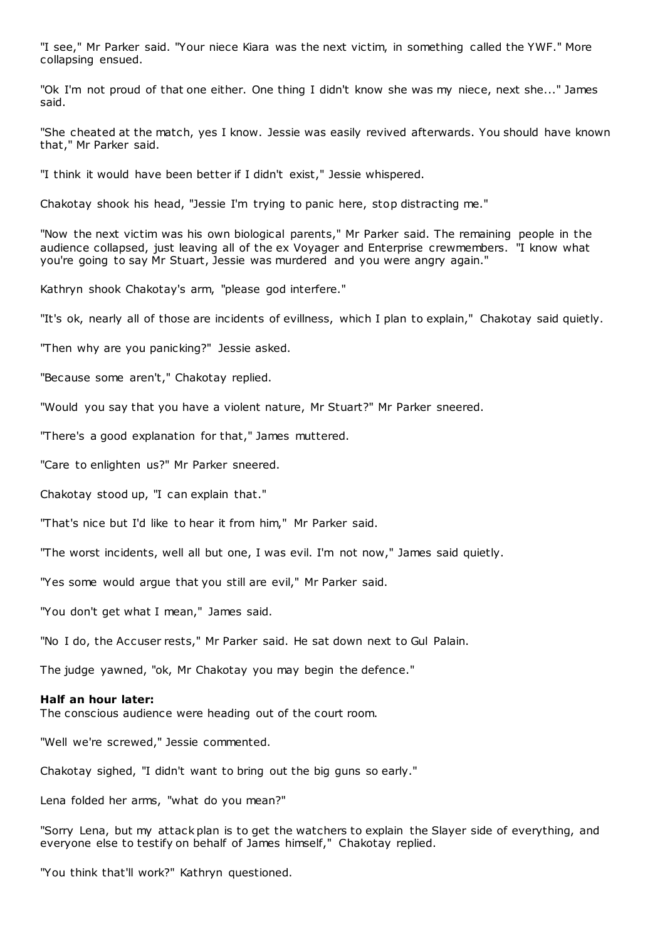"I see," Mr Parker said. "Your niece Kiara was the next victim, in something called the YWF." More collapsing ensued.

"Ok I'm not proud of that one either. One thing I didn't know she was my niece, next she..." James said.

"She cheated at the match, yes I know. Jessie was easily revived afterwards. You should have known that," Mr Parker said.

"I think it would have been better if I didn't exist," Jessie whispered.

Chakotay shook his head, "Jessie I'm trying to panic here, stop distracting me."

"Now the next victim was his own biological parents," Mr Parker said. The remaining people in the audience collapsed, just leaving all of the ex Voyager and Enterprise crewmembers. "I know what you're going to say Mr Stuart, Jessie was murdered and you were angry again."

Kathryn shook Chakotay's arm, "please god interfere."

"It's ok, nearly all of those are incidents of evillness, which I plan to explain," Chakotay said quietly.

"Then why are you panicking?" Jessie asked.

"Because some aren't," Chakotay replied.

"Would you say that you have a violent nature, Mr Stuart?" Mr Parker sneered.

"There's a good explanation for that," James muttered.

"Care to enlighten us?" Mr Parker sneered.

Chakotay stood up, "I can explain that."

"That's nice but I'd like to hear it from him," Mr Parker said.

"The worst incidents, well all but one, I was evil. I'm not now," James said quietly.

"Yes some would argue that you still are evil," Mr Parker said.

"You don't get what I mean," James said.

"No I do, the Accuser rests," Mr Parker said. He sat down next to Gul Palain.

The judge yawned, "ok, Mr Chakotay you may begin the defence."

#### **Half an hour later:**

The conscious audience were heading out of the court room.

"Well we're screwed," Jessie commented.

Chakotay sighed, "I didn't want to bring out the big guns so early."

Lena folded her arms, "what do you mean?"

"Sorry Lena, but my attack plan is to get the watchers to explain the Slayer side of everything, and everyone else to testify on behalf of James himself," Chakotay replied.

"You think that'll work?" Kathryn questioned.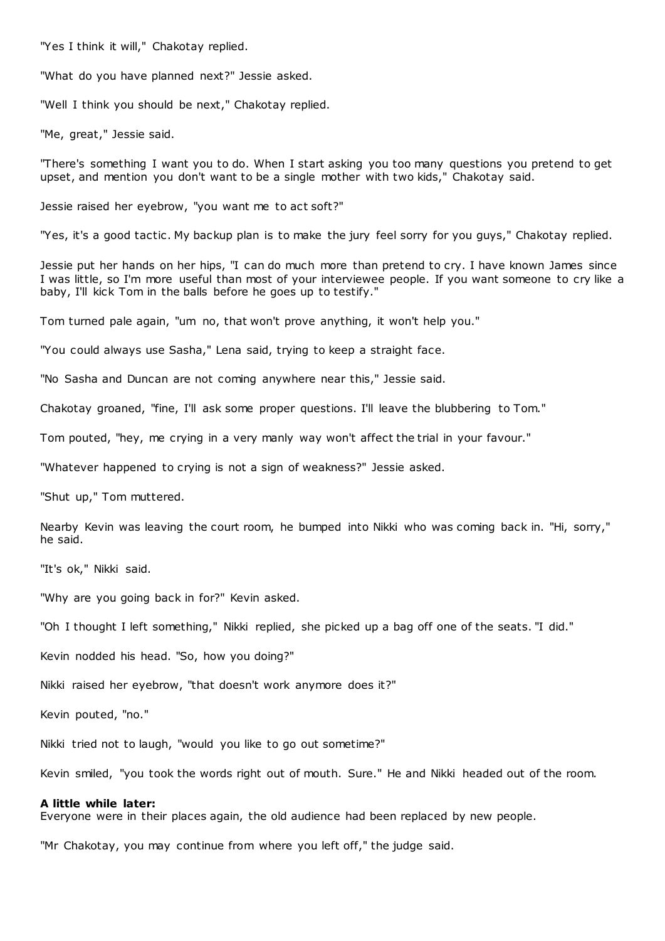"Yes I think it will," Chakotay replied.

"What do you have planned next?" Jessie asked.

"Well I think you should be next," Chakotay replied.

"Me, great," Jessie said.

"There's something I want you to do. When I start asking you too many questions you pretend to get upset, and mention you don't want to be a single mother with two kids," Chakotay said.

Jessie raised her eyebrow, "you want me to act soft?"

"Yes, it's a good tactic . My backup plan is to make the jury feel sorry for you guys," Chakotay replied.

Jessie put her hands on her hips, "I can do much more than pretend to cry. I have known James since I was little, so I'm more useful than most of your interviewee people. If you want someone to cry like a baby, I'll kick Tom in the balls before he goes up to testify."

Tom turned pale again, "um no, that won't prove anything, it won't help you."

"You could always use Sasha," Lena said, trying to keep a straight face.

"No Sasha and Duncan are not coming anywhere near this," Jessie said.

Chakotay groaned, "fine, I'll ask some proper questions. I'll leave the blubbering to Tom."

Tom pouted, "hey, me crying in a very manly way won't affect the trial in your favour."

"Whatever happened to crying is not a sign of weakness?" Jessie asked.

"Shut up," Tom muttered.

Nearby Kevin was leaving the court room, he bumped into Nikki who was coming back in. "Hi, sorry," he said.

"It's ok," Nikki said.

"Why are you going back in for?" Kevin asked.

"Oh I thought I left something," Nikki replied, she picked up a bag off one of the seats. "I did."

Kevin nodded his head. "So, how you doing?"

Nikki raised her eyebrow, "that doesn't work anymore does it?"

Kevin pouted, "no."

Nikki tried not to laugh, "would you like to go out sometime?"

Kevin smiled, "you took the words right out of mouth. Sure." He and Nikki headed out of the room.

#### **A little while later:**

Everyone were in their places again, the old audience had been replaced by new people.

"Mr Chakotay, you may continue from where you left off," the judge said.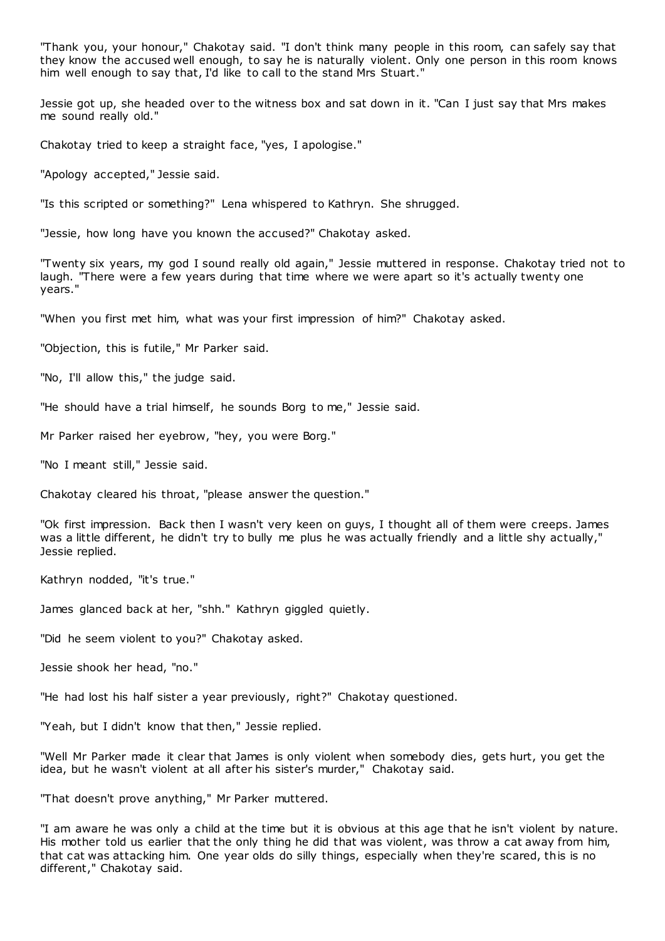"Thank you, your honour," Chakotay said. "I don't think many people in this room, can safely say that they know the accused well enough, to say he is naturally violent. Only one person in this room knows him well enough to say that, I'd like to call to the stand Mrs Stuart."

Jessie got up, she headed over to the witness box and sat down in it. "Can I just say that Mrs makes me sound really old."

Chakotay tried to keep a straight face, "yes, I apologise."

"Apology accepted," Jessie said.

"Is this scripted or something?" Lena whispered to Kathryn. She shrugged.

"Jessie, how long have you known the accused?" Chakotay asked.

"Twenty six years, my god I sound really old again," Jessie muttered in response. Chakotay tried not to laugh. "There were a few years during that time where we were apart so it's actually twenty one years."

"When you first met him, what was your first impression of him?" Chakotay asked.

"Objection, this is futile," Mr Parker said.

"No, I'll allow this," the judge said.

"He should have a trial himself, he sounds Borg to me," Jessie said.

Mr Parker raised her eyebrow, "hey, you were Borg."

"No I meant still," Jessie said.

Chakotay cleared his throat, "please answer the question."

"Ok first impression. Back then I wasn't very keen on guys, I thought all of them were creeps. James was a little different, he didn't try to bully me plus he was actually friendly and a little shy actually," Jessie replied.

Kathryn nodded, "it's true."

James glanced back at her, "shh." Kathryn giggled quietly.

"Did he seem violent to you?" Chakotay asked.

Jessie shook her head, "no."

"He had lost his half sister a year previously, right?" Chakotay questioned.

"Yeah, but I didn't know that then," Jessie replied.

"Well Mr Parker made it clear that James is only violent when somebody dies, gets hurt, you get the idea, but he wasn't violent at all after his sister's murder," Chakotay said.

"That doesn't prove anything," Mr Parker muttered.

"I am aware he was only a child at the time but it is obvious at this age that he isn't violent by nature. His mother told us earlier that the only thing he did that was violent, was throw a cat away from him, that cat was attacking him. One year olds do silly things, especially when they're scared, this is no different," Chakotay said.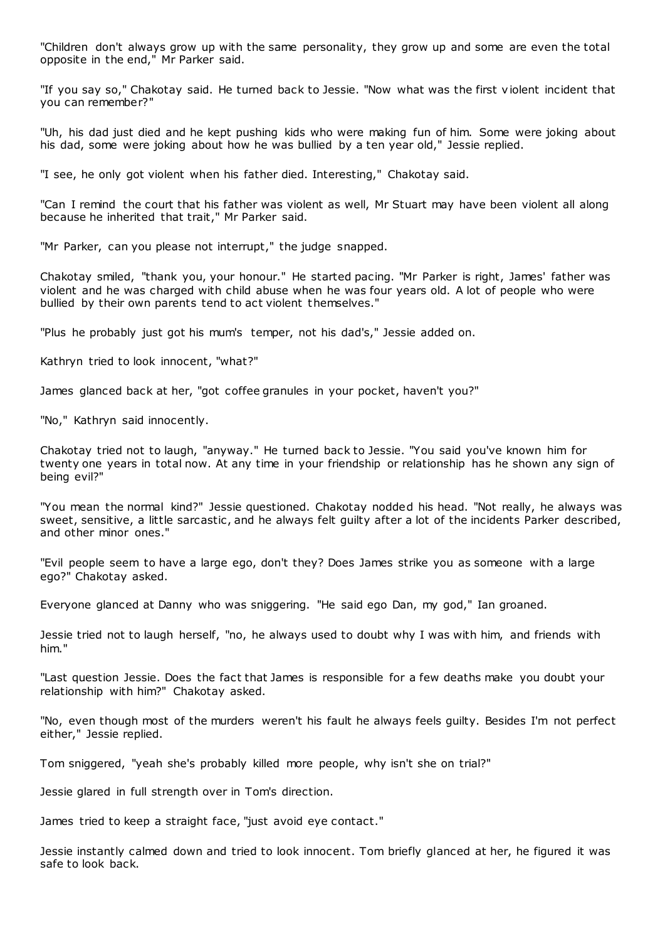"Children don't always grow up with the same personality, they grow up and some are even the total opposite in the end," Mr Parker said.

"If you say so," Chakotay said. He turned back to Jessie. "Now what was the first violent incident that you can remember?"

"Uh, his dad just died and he kept pushing kids who were making fun of him. Some were joking about his dad, some were joking about how he was bullied by a ten year old," Jessie replied.

"I see, he only got violent when his father died. Interesting," Chakotay said.

"Can I remind the court that his father was violent as well, Mr Stuart may have been violent all along because he inherited that trait," Mr Parker said.

"Mr Parker, can you please not interrupt," the judge snapped.

Chakotay smiled, "thank you, your honour." He started pacing. "Mr Parker is right, James' father was violent and he was charged with child abuse when he was four years old. A lot of people who were bullied by their own parents tend to act violent themselves."

"Plus he probably just got his mum's temper, not his dad's," Jessie added on.

Kathryn tried to look innocent, "what?"

James glanced back at her, "got coffee granules in your pocket, haven't you?"

"No," Kathryn said innocently.

Chakotay tried not to laugh, "anyway." He turned back to Jessie. "You said you've known him for twenty one years in total now. At any time in your friendship or relationship has he shown any sign of being evil?"

"You mean the normal kind?" Jessie questioned. Chakotay nodded his head. "Not really, he always was sweet, sensitive, a little sarcastic , and he always felt guilty after a lot of the incidents Parker described, and other minor ones."

"Evil people seem to have a large ego, don't they? Does James strike you as someone with a large ego?" Chakotay asked.

Everyone glanced at Danny who was sniggering. "He said ego Dan, my god," Ian groaned.

Jessie tried not to laugh herself, "no, he always used to doubt why I was with him, and friends with him."

"Last question Jessie. Does the fact that James is responsible for a few deaths make you doubt your relationship with him?" Chakotay asked.

"No, even though most of the murders weren't his fault he always feels guilty. Besides I'm not perfect either," Jessie replied.

Tom sniggered, "yeah she's probably killed more people, why isn't she on trial?"

Jessie glared in full strength over in Tom's direction.

James tried to keep a straight face, "just avoid eye contact."

Jessie instantly calmed down and tried to look innocent. Tom briefly glanced at her, he figured it was safe to look back.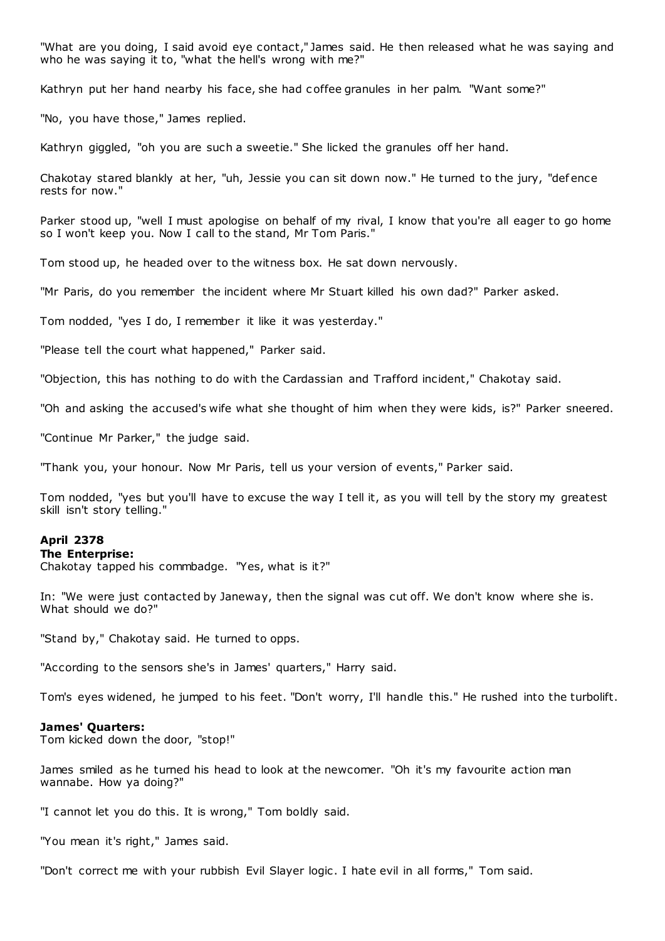"What are you doing, I said avoid eye contact," James said. He then released what he was saying and who he was saying it to, "what the hell's wrong with me?"

Kathryn put her hand nearby his face, she had c offee granules in her palm. "Want some?"

"No, you have those," James replied.

Kathryn giggled, "oh you are such a sweetie." She licked the granules off her hand.

Chakotay stared blankly at her, "uh, Jessie you can sit down now." He turned to the jury, "def ence rests for now."

Parker stood up, "well I must apologise on behalf of my rival, I know that you're all eager to go home so I won't keep you. Now I call to the stand, Mr Tom Paris."

Tom stood up, he headed over to the witness box. He sat down nervously.

"Mr Paris, do you remember the incident where Mr Stuart killed his own dad?" Parker asked.

Tom nodded, "yes I do, I remember it like it was yesterday."

"Please tell the court what happened," Parker said.

"Objection, this has nothing to do with the Cardassian and Trafford incident," Chakotay said.

"Oh and asking the accused's wife what she thought of him when they were kids, is?" Parker sneered.

"Continue Mr Parker," the judge said.

"Thank you, your honour. Now Mr Paris, tell us your version of events," Parker said.

Tom nodded, "yes but you'll have to excuse the way I tell it, as you will tell by the story my greatest skill isn't story telling."

## **April 2378**

#### **The Enterprise:**

Chakotay tapped his commbadge. "Yes, what is it?"

In: "We were just contacted by Janeway, then the signal was cut off. We don't know where she is. What should we do?"

"Stand by," Chakotay said. He turned to opps.

"According to the sensors she's in James' quarters," Harry said.

Tom's eyes widened, he jumped to his feet. "Don't worry, I'll handle this." He rushed into the turbolift.

#### **James' Quarters:**

Tom kicked down the door, "stop!"

James smiled as he turned his head to look at the newcomer. "Oh it's my favourite action man wannabe. How ya doing?"

"I cannot let you do this. It is wrong," Tom boldly said.

"You mean it's right," James said.

"Don't correct me with your rubbish Evil Slayer logic . I hate evil in all forms," Tom said.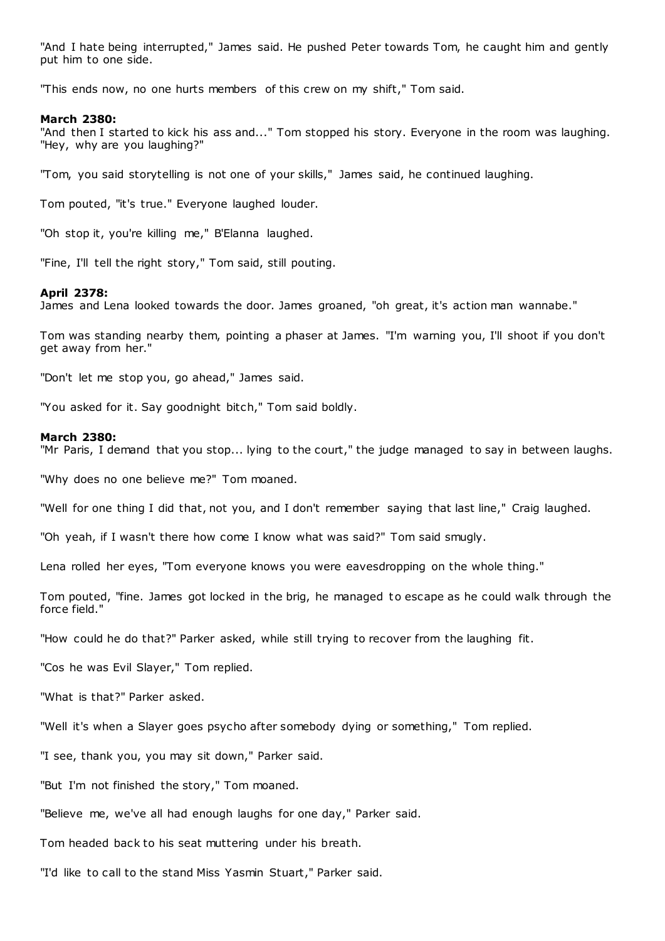"And I hate being interrupted," James said. He pushed Peter towards Tom, he caught him and gently put him to one side.

"This ends now, no one hurts members of this crew on my shift," Tom said.

#### **March 2380:**

"And then I started to kick his ass and..." Tom stopped his story. Everyone in the room was laughing. "Hey, why are you laughing?"

"Tom, you said storytelling is not one of your skills," James said, he continued laughing.

Tom pouted, "it's true." Everyone laughed louder.

"Oh stop it, you're killing me," B'Elanna laughed.

"Fine, I'll tell the right story," Tom said, still pouting.

### **April 2378:**

James and Lena looked towards the door. James groaned, "oh great, it's action man wannabe."

Tom was standing nearby them, pointing a phaser at James. "I'm warning you, I'll shoot if you don't get away from her."

"Don't let me stop you, go ahead," James said.

"You asked for it. Say goodnight bitch," Tom said boldly.

#### **March 2380:**

"Mr Paris, I demand that you stop... lying to the court," the judge managed to say in between laughs.

"Why does no one believe me?" Tom moaned.

"Well for one thing I did that, not you, and I don't remember saying that last line," Craig laughed.

"Oh yeah, if I wasn't there how come I know what was said?" Tom said smugly.

Lena rolled her eyes, "Tom everyone knows you were eavesdropping on the whole thing."

Tom pouted, "fine. James got locked in the brig, he managed to escape as he could walk through the force field."

"How could he do that?" Parker asked, while still trying to recover from the laughing fit.

"Cos he was Evil Slayer," Tom replied.

"What is that?" Parker asked.

"Well it's when a Slayer goes psycho after somebody dying or something," Tom replied.

"I see, thank you, you may sit down," Parker said.

"But I'm not finished the story," Tom moaned.

"Believe me, we've all had enough laughs for one day," Parker said.

Tom headed back to his seat muttering under his breath.

"I'd like to call to the stand Miss Yasmin Stuart," Parker said.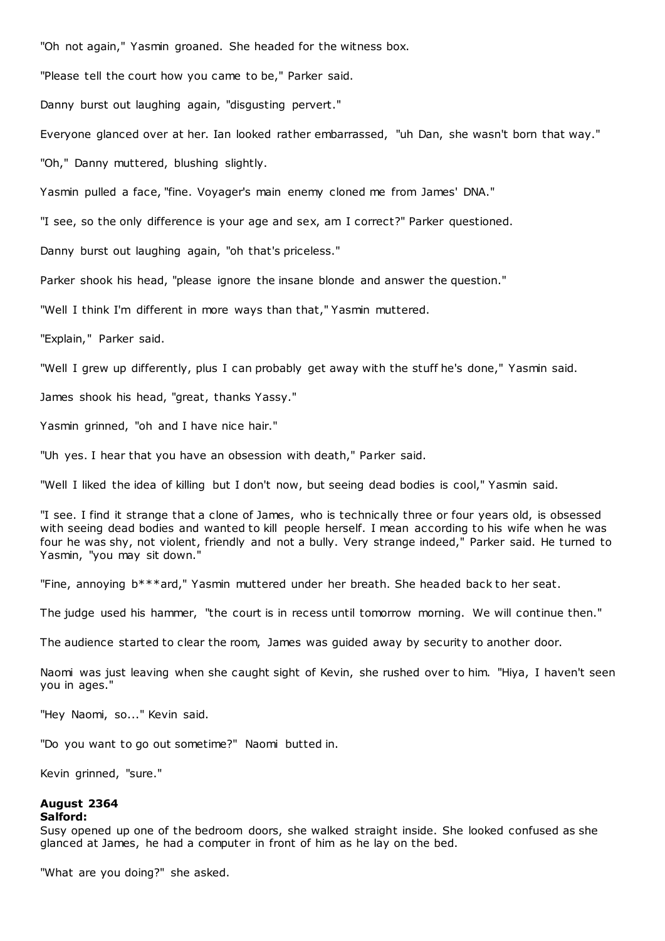"Oh not again," Yasmin groaned. She headed for the witness box.

"Please tell the court how you came to be," Parker said.

Danny burst out laughing again, "disgusting pervert."

Everyone glanced over at her. Ian looked rather embarrassed, "uh Dan, she wasn't born that way."

"Oh," Danny muttered, blushing slightly.

Yasmin pulled a face, "fine. Voyager's main enemy cloned me from James' DNA."

"I see, so the only difference is your age and sex, am I correct?" Parker questioned.

Danny burst out laughing again, "oh that's priceless."

Parker shook his head, "please ignore the insane blonde and answer the question."

"Well I think I'm different in more ways than that," Yasmin muttered.

"Explain," Parker said.

"Well I grew up differently, plus I can probably get away with the stuff he's done," Yasmin said.

James shook his head, "great, thanks Yassy."

Yasmin grinned, "oh and I have nice hair."

"Uh yes. I hear that you have an obsession with death," Parker said.

"Well I liked the idea of killing but I don't now, but seeing dead bodies is cool," Yasmin said.

"I see. I find it strange that a clone of James, who is technically three or four years old, is obsessed with seeing dead bodies and wanted to kill people herself. I mean according to his wife when he was four he was shy, not violent, friendly and not a bully. Very strange indeed," Parker said. He turned to Yasmin, "you may sit down."

"Fine, annoying b\*\*\*ard," Yasmin muttered under her breath. She headed back to her seat.

The judge used his hammer, "the court is in recess until tomorrow morning. We will continue then."

The audience started to clear the room, James was guided away by security to another door.

Naomi was just leaving when she caught sight of Kevin, she rushed over to him. "Hiya, I haven't seen you in ages."

"Hey Naomi, so..." Kevin said.

"Do you want to go out sometime?" Naomi butted in.

Kevin grinned, "sure."

# **August 2364**

## **Salford:**

Susy opened up one of the bedroom doors, she walked straight inside. She looked confused as she glanced at James, he had a computer in front of him as he lay on the bed.

"What are you doing?" she asked.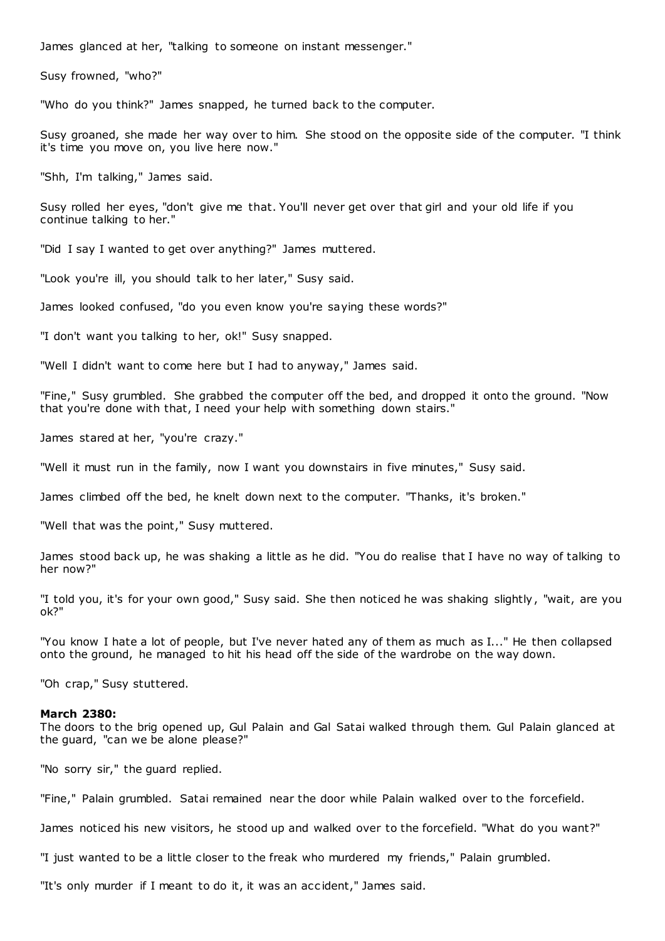James glanced at her, "talking to someone on instant messenger."

Susy frowned, "who?"

"Who do you think?" James snapped, he turned back to the computer.

Susy groaned, she made her way over to him. She stood on the opposite side of the computer. "I think it's time you move on, you live here now."

"Shh, I'm talking," James said.

Susy rolled her eyes, "don't give me that. You'll never get over that girl and your old life if you continue talking to her."

"Did I say I wanted to get over anything?" James muttered.

"Look you're ill, you should talk to her later," Susy said.

James looked confused, "do you even know you're saying these words?"

"I don't want you talking to her, ok!" Susy snapped.

"Well I didn't want to come here but I had to anyway," James said.

"Fine," Susy grumbled. She grabbed the computer off the bed, and dropped it onto the ground. "Now that you're done with that, I need your help with something down stairs."

James stared at her, "you're crazy."

"Well it must run in the family, now I want you downstairs in five minutes," Susy said.

James climbed off the bed, he knelt down next to the computer. "Thanks, it's broken."

"Well that was the point," Susy muttered.

James stood back up, he was shaking a little as he did. "You do realise that I have no way of talking to her now?"

"I told you, it's for your own good," Susy said. She then noticed he was shaking slightly, "wait, are you ok?"

"You know I hate a lot of people, but I've never hated any of them as much as I..." He then collapsed onto the ground, he managed to hit his head off the side of the wardrobe on the way down.

"Oh crap," Susy stuttered.

## **March 2380:**

The doors to the brig opened up, Gul Palain and Gal Satai walked through them. Gul Palain glanced at the guard, "can we be alone please?"

"No sorry sir," the guard replied.

"Fine," Palain grumbled. Satai remained near the door while Palain walked over to the forcefield.

James noticed his new visitors, he stood up and walked over to the forcefield. "What do you want?"

"I just wanted to be a little closer to the freak who murdered my friends," Palain grumbled.

"It's only murder if I meant to do it, it was an acc ident," James said.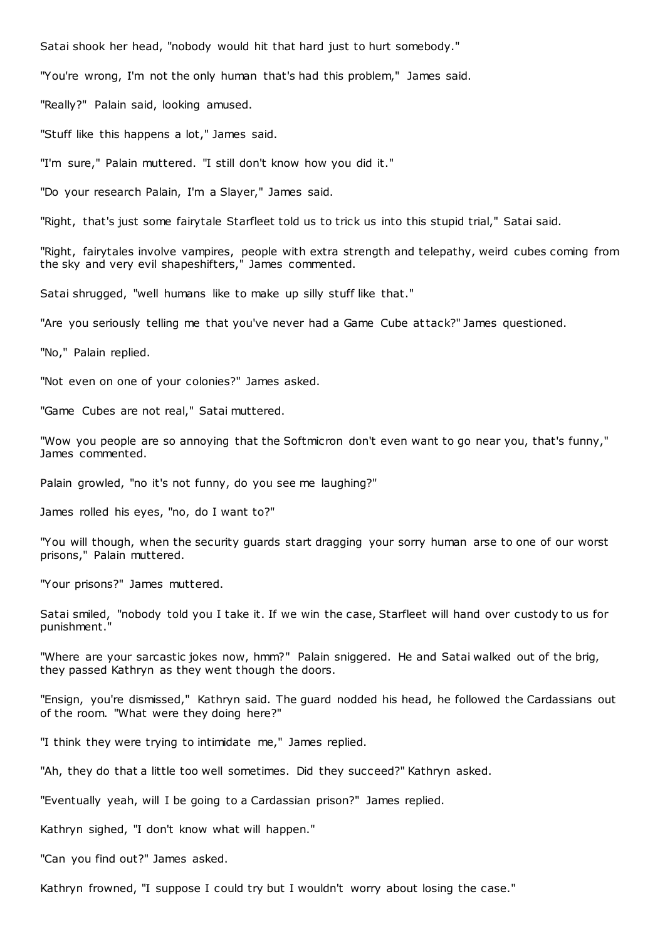Satai shook her head, "nobody would hit that hard just to hurt somebody."

"You're wrong, I'm not the only human that's had this problem," James said.

"Really?" Palain said, looking amused.

"Stuff like this happens a lot," James said.

"I'm sure," Palain muttered. "I still don't know how you did it."

"Do your research Palain, I'm a Slayer," James said.

"Right, that's just some fairytale Starfleet told us to trick us into this stupid trial," Satai said.

"Right, fairytales involve vampires, people with extra strength and telepathy, weird cubes coming from the sky and very evil shapeshifters," James commented.

Satai shrugged, "well humans like to make up silly stuff like that."

"Are you seriously telling me that you've never had a Game Cube attack?" James questioned.

"No," Palain replied.

"Not even on one of your colonies?" James asked.

"Game Cubes are not real," Satai muttered.

"Wow you people are so annoying that the Softmicron don't even want to go near you, that's funny," James commented.

Palain growled, "no it's not funny, do you see me laughing?"

James rolled his eyes, "no, do I want to?"

"You will though, when the security guards start dragging your sorry human arse to one of our worst prisons," Palain muttered.

"Your prisons?" James muttered.

Satai smiled, "nobody told you I take it. If we win the case, Starfleet will hand over custody to us for punishment."

"Where are your sarcastic jokes now, hmm?" Palain sniggered. He and Satai walked out of the brig, they passed Kathryn as they went though the doors.

"Ensign, you're dismissed," Kathryn said. The guard nodded his head, he followed the Cardassians out of the room. "What were they doing here?"

"I think they were trying to intimidate me," James replied.

"Ah, they do that a little too well sometimes. Did they succeed?" Kathryn asked.

"Eventually yeah, will I be going to a Cardassian prison?" James replied.

Kathryn sighed, "I don't know what will happen."

"Can you find out?" James asked.

Kathryn frowned, "I suppose I could try but I wouldn't worry about losing the case."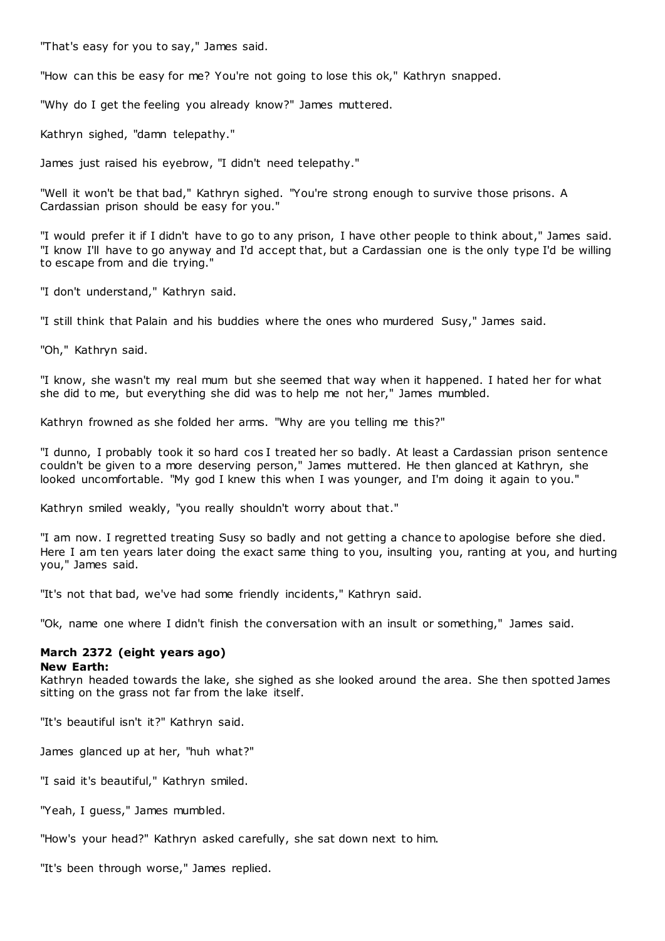"That's easy for you to say," James said.

"How can this be easy for me? You're not going to lose this ok," Kathryn snapped.

"Why do I get the feeling you already know?" James muttered.

Kathryn sighed, "damn telepathy."

James just raised his eyebrow, "I didn't need telepathy."

"Well it won't be that bad," Kathryn sighed. "You're strong enough to survive those prisons. A Cardassian prison should be easy for you."

"I would prefer it if I didn't have to go to any prison, I have other people to think about," James said. "I know I'll have to go anyway and I'd accept that, but a Cardassian one is the only type I'd be willing to escape from and die trying."

"I don't understand," Kathryn said.

"I still think that Palain and his buddies where the ones who murdered Susy," James said.

"Oh," Kathryn said.

"I know, she wasn't my real mum but she seemed that way when it happened. I hated her for what she did to me, but everything she did was to help me not her," James mumbled.

Kathryn frowned as she folded her arms. "Why are you telling me this?"

"I dunno, I probably took it so hard cos I treated her so badly. At least a Cardassian prison sentence couldn't be given to a more deserving person," James muttered. He then glanced at Kathryn, she looked uncomfortable. "My god I knew this when I was younger, and I'm doing it again to you."

Kathryn smiled weakly, "you really shouldn't worry about that."

"I am now. I regretted treating Susy so badly and not getting a chance to apologise before she died. Here I am ten years later doing the exact same thing to you, insulting you, ranting at you, and hurting you," James said.

"It's not that bad, we've had some friendly incidents," Kathryn said.

"Ok, name one where I didn't finish the conversation with an insult or something," James said.

## **March 2372 (eight years ago)**

## **New Earth:**

Kathryn headed towards the lake, she sighed as she looked around the area. She then spotted James sitting on the grass not far from the lake itself.

"It's beautiful isn't it?" Kathryn said.

James glanced up at her, "huh what?"

"I said it's beautiful," Kathryn smiled.

"Yeah, I guess," James mumbled.

"How's your head?" Kathryn asked carefully, she sat down next to him.

"It's been through worse," James replied.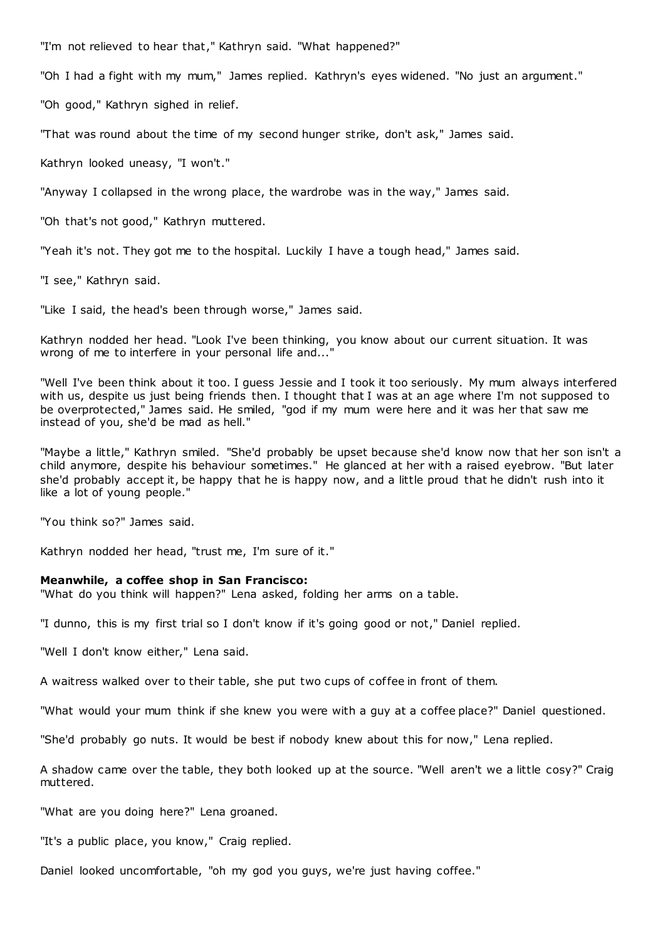"I'm not relieved to hear that," Kathryn said. "What happened?"

"Oh I had a fight with my mum," James replied. Kathryn's eyes widened. "No just an argument."

"Oh good," Kathryn sighed in relief.

"That was round about the time of my second hunger strike, don't ask," James said.

Kathryn looked uneasy, "I won't."

"Anyway I collapsed in the wrong place, the wardrobe was in the way," James said.

"Oh that's not good," Kathryn muttered.

"Yeah it's not. They got me to the hospital. Luckily I have a tough head," James said.

"I see," Kathryn said.

"Like I said, the head's been through worse," James said.

Kathryn nodded her head. "Look I've been thinking, you know about our current situation. It was wrong of me to interfere in your personal life and...

"Well I've been think about it too. I guess Jessie and I took it too seriously. My mum always interfered with us, despite us just being friends then. I thought that I was at an age where I'm not supposed to be overprotected," James said. He smiled, "god if my mum were here and it was her that saw me instead of you, she'd be mad as hell."

"Maybe a little," Kathryn smiled. "She'd probably be upset because she'd know now that her son isn't a child anymore, despite his behaviour sometimes." He glanced at her with a raised eyebrow. "But later she'd probably accept it, be happy that he is happy now, and a little proud that he didn't rush into it like a lot of young people."

"You think so?" James said.

Kathryn nodded her head, "trust me, I'm sure of it."

#### **Meanwhile, a coffee shop in San Francisco:**

"What do you think will happen?" Lena asked, folding her arms on a table.

"I dunno, this is my first trial so I don't know if it's going good or not," Daniel replied.

"Well I don't know either," Lena said.

A waitress walked over to their table, she put two cups of coffee in front of them.

"What would your mum think if she knew you were with a guy at a coffee place?" Daniel questioned.

"She'd probably go nuts. It would be best if nobody knew about this for now," Lena replied.

A shadow came over the table, they both looked up at the source. "Well aren't we a little cosy?" Craig muttered.

"What are you doing here?" Lena groaned.

"It's a public place, you know," Craig replied.

Daniel looked uncomfortable, "oh my god you guys, we're just having coffee."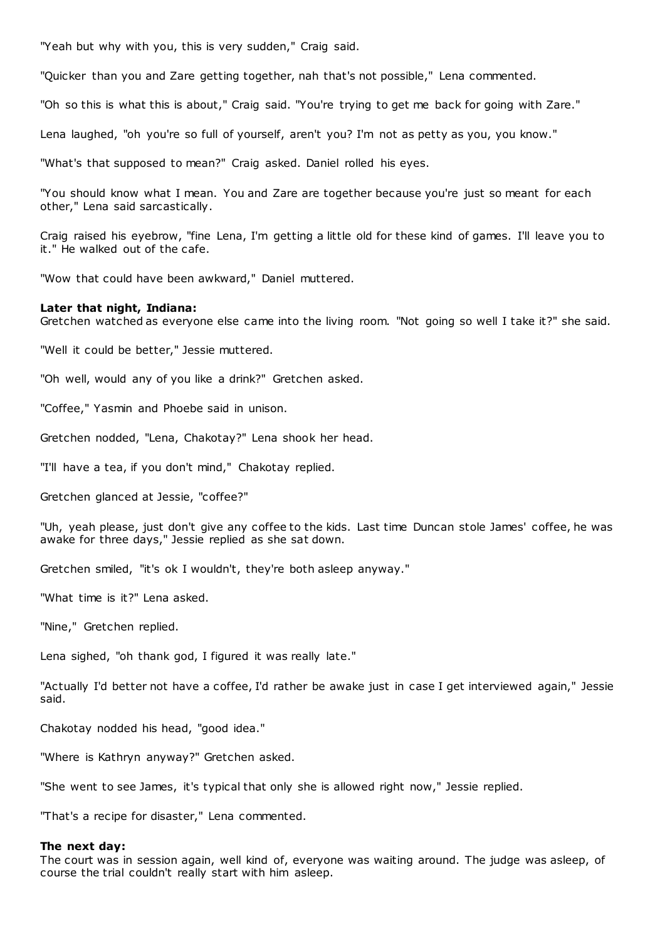"Yeah but why with you, this is very sudden," Craig said.

"Quicker than you and Zare getting together, nah that's not possible," Lena commented.

"Oh so this is what this is about," Craig said. "You're trying to get me back for going with Zare."

Lena laughed, "oh you're so full of yourself, aren't you? I'm not as petty as you, you know."

"What's that supposed to mean?" Craig asked. Daniel rolled his eyes.

"You should know what I mean. You and Zare are together because you're just so meant for each other," Lena said sarcastically.

Craig raised his eyebrow, "fine Lena, I'm getting a little old for these kind of games. I'll leave you to it." He walked out of the cafe.

"Wow that could have been awkward," Daniel muttered.

#### **Later that night, Indiana:**

Gretchen watched as everyone else came into the living room. "Not going so well I take it?" she said.

"Well it could be better," Jessie muttered.

"Oh well, would any of you like a drink?" Gretchen asked.

"Coffee," Yasmin and Phoebe said in unison.

Gretchen nodded, "Lena, Chakotay?" Lena shook her head.

"I'll have a tea, if you don't mind," Chakotay replied.

Gretchen glanced at Jessie, "coffee?"

"Uh, yeah please, just don't give any coffee to the kids. Last time Duncan stole James' coffee, he was awake for three days," Jessie replied as she sat down.

Gretchen smiled, "it's ok I wouldn't, they're both asleep anyway."

"What time is it?" Lena asked.

"Nine," Gretchen replied.

Lena sighed, "oh thank god, I figured it was really late."

"Actually I'd better not have a coffee, I'd rather be awake just in case I get interviewed again," Jessie said.

Chakotay nodded his head, "good idea."

"Where is Kathryn anyway?" Gretchen asked.

"She went to see James, it's typical that only she is allowed right now," Jessie replied.

"That's a recipe for disaster," Lena commented.

#### **The next day:**

The court was in session again, well kind of, everyone was waiting around. The judge was asleep, of course the trial couldn't really start with him asleep.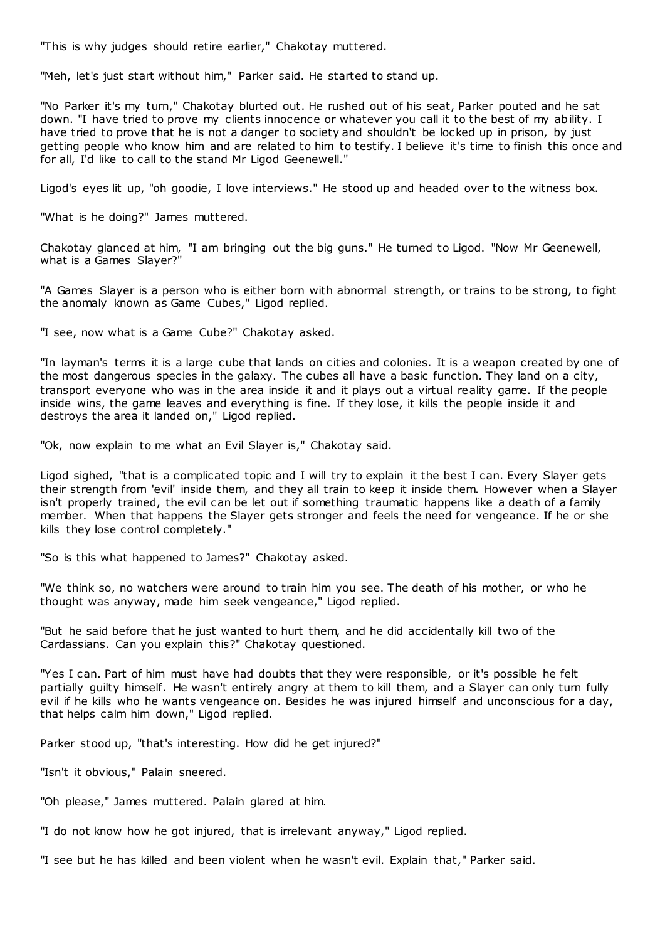"This is why judges should retire earlier," Chakotay muttered.

"Meh, let's just start without him," Parker said. He started to stand up.

"No Parker it's my turn," Chakotay blurted out. He rushed out of his seat, Parker pouted and he sat down. "I have tried to prove my clients innocence or whatever you call it to the best of my ability. I have tried to prove that he is not a danger to society and shouldn't be locked up in prison, by just getting people who know him and are related to him to testify. I believe it's time to finish this once and for all, I'd like to call to the stand Mr Ligod Geenewell."

Ligod's eyes lit up, "oh goodie, I love interviews." He stood up and headed over to the witness box.

"What is he doing?" James muttered.

Chakotay glanced at him, "I am bringing out the big guns." He turned to Ligod. "Now Mr Geenewell, what is a Games Slayer?"

"A Games Slayer is a person who is either born with abnormal strength, or trains to be strong, to fight the anomaly known as Game Cubes," Ligod replied.

"I see, now what is a Game Cube?" Chakotay asked.

"In layman's terms it is a large cube that lands on cities and colonies. It is a weapon created by one of the most dangerous species in the galaxy. The cubes all have a basic function. They land on a city, transport everyone who was in the area inside it and it plays out a virtual reality game. If the people inside wins, the game leaves and everything is fine. If they lose, it kills the people inside it and destroys the area it landed on," Ligod replied.

"Ok, now explain to me what an Evil Slayer is," Chakotay said.

Ligod sighed, "that is a complicated topic and I will try to explain it the best I can. Every Slayer gets their strength from 'evil' inside them, and they all train to keep it inside them. However when a Slayer isn't properly trained, the evil can be let out if something traumatic happens like a death of a family member. When that happens the Slayer gets stronger and feels the need for vengeance. If he or she kills they lose control completely."

"So is this what happened to James?" Chakotay asked.

"We think so, no watchers were around to train him you see. The death of his mother, or who he thought was anyway, made him seek vengeance," Ligod replied.

"But he said before that he just wanted to hurt them, and he did accidentally kill two of the Cardassians. Can you explain this?" Chakotay questioned.

"Yes I can. Part of him must have had doubts that they were responsible, or it's possible he felt partially guilty himself. He wasn't entirely angry at them to kill them, and a Slayer can only turn fully evil if he kills who he wants vengeance on. Besides he was injured himself and unconscious for a day, that helps calm him down," Ligod replied.

Parker stood up, "that's interesting. How did he get injured?"

"Isn't it obvious," Palain sneered.

"Oh please," James muttered. Palain glared at him.

"I do not know how he got injured, that is irrelevant anyway," Ligod replied.

"I see but he has killed and been violent when he wasn't evil. Explain that," Parker said.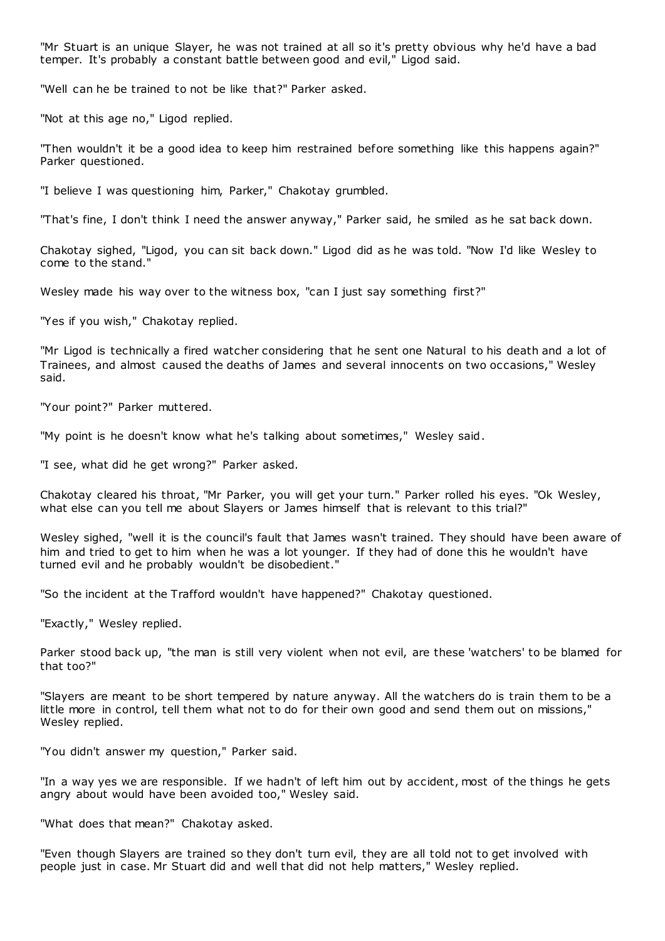"Mr Stuart is an unique Slayer, he was not trained at all so it's pretty obvious why he'd have a bad temper. It's probably a constant battle between good and evil," Ligod said.

"Well can he be trained to not be like that?" Parker asked.

"Not at this age no," Ligod replied.

"Then wouldn't it be a good idea to keep him restrained before something like this happens again?" Parker questioned.

"I believe I was questioning him, Parker," Chakotay grumbled.

"That's fine, I don't think I need the answer anyway," Parker said, he smiled as he sat back down.

Chakotay sighed, "Ligod, you can sit back down." Ligod did as he was told. "Now I'd like Wesley to come to the stand."

Wesley made his way over to the witness box, "can I just say something first?"

"Yes if you wish," Chakotay replied.

"Mr Ligod is technically a fired watcher considering that he sent one Natural to his death and a lot of Trainees, and almost caused the deaths of James and several innocents on two occasions," Wesley said.

"Your point?" Parker muttered.

"My point is he doesn't know what he's talking about sometimes," Wesley said.

"I see, what did he get wrong?" Parker asked.

Chakotay cleared his throat, "Mr Parker, you will get your turn." Parker rolled his eyes. "Ok Wesley, what else can you tell me about Slayers or James himself that is relevant to this trial?"

Wesley sighed, "well it is the council's fault that James wasn't trained. They should have been aware of him and tried to get to him when he was a lot younger. If they had of done this he wouldn't have turned evil and he probably wouldn't be disobedient."

"So the incident at the Trafford wouldn't have happened?" Chakotay questioned.

"Exactly," Wesley replied.

Parker stood back up, "the man is still very violent when not evil, are these 'watchers' to be blamed for that too?"

"Slayers are meant to be short tempered by nature anyway. All the watchers do is train them to be a little more in control, tell them what not to do for their own good and send them out on missions," Wesley replied.

"You didn't answer my question," Parker said.

"In a way yes we are responsible. If we hadn't of left him out by accident, most of the things he gets angry about would have been avoided too," Wesley said.

"What does that mean?" Chakotay asked.

"Even though Slayers are trained so they don't turn evil, they are all told not to get involved with people just in case. Mr Stuart did and well that did not help matters," Wesley replied.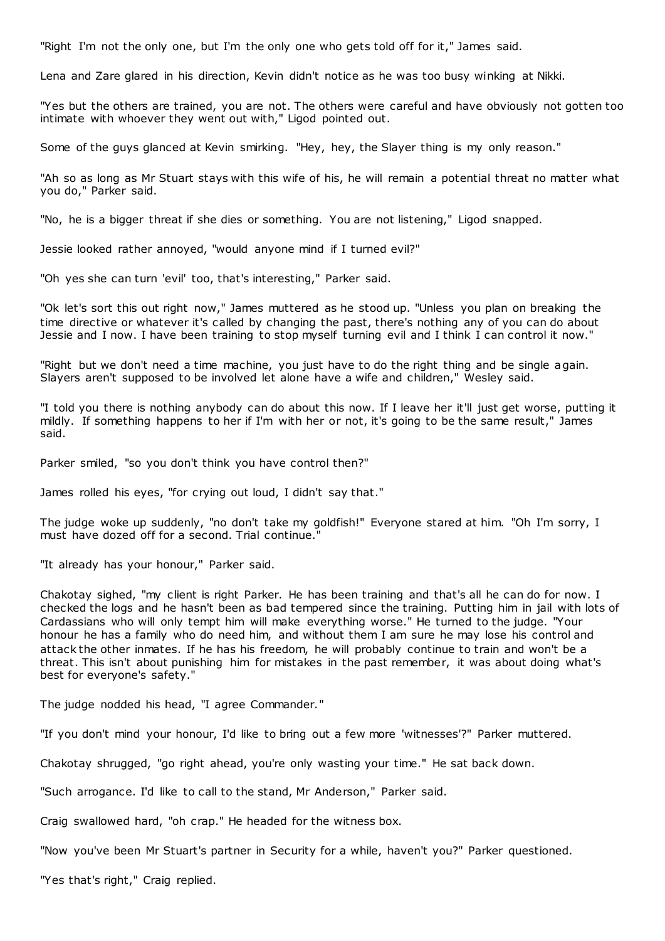"Right I'm not the only one, but I'm the only one who gets told off for it," James said.

Lena and Zare glared in his direction, Kevin didn't notice as he was too busy winking at Nikki.

"Yes but the others are trained, you are not. The others were careful and have obviously not gotten too intimate with whoever they went out with," Ligod pointed out.

Some of the guys glanced at Kevin smirking. "Hey, hey, the Slayer thing is my only reason."

"Ah so as long as Mr Stuart stays with this wife of his, he will remain a potential threat no matter what you do," Parker said.

"No, he is a bigger threat if she dies or something. You are not listening," Ligod snapped.

Jessie looked rather annoyed, "would anyone mind if I turned evil?"

"Oh yes she can turn 'evil' too, that's interesting," Parker said.

"Ok let's sort this out right now," James muttered as he stood up. "Unless you plan on breaking the time directive or whatever it's called by changing the past, there's nothing any of you can do about Jessie and I now. I have been training to stop myself turning evil and I think I can control it now."

"Right but we don't need a time machine, you just have to do the right thing and be single again. Slayers aren't supposed to be involved let alone have a wife and children," Wesley said.

"I told you there is nothing anybody can do about this now. If I leave her it'll just get worse, putting it mildly. If something happens to her if I'm with her or not, it's going to be the same result," James said.

Parker smiled, "so you don't think you have control then?"

James rolled his eyes, "for crying out loud, I didn't say that."

The judge woke up suddenly, "no don't take my goldfish!" Everyone stared at him. "Oh I'm sorry, I must have dozed off for a second. Trial continue."

"It already has your honour," Parker said.

Chakotay sighed, "my client is right Parker. He has been training and that's all he can do for now. I checked the logs and he hasn't been as bad tempered since the training. Putting him in jail with lots of Cardassians who will only tempt him will make everything worse." He turned to the judge. "Your honour he has a family who do need him, and without them I am sure he may lose his control and attack the other inmates. If he has his freedom, he will probably continue to train and won't be a threat. This isn't about punishing him for mistakes in the past remember, it was about doing what's best for everyone's safety."

The judge nodded his head, "I agree Commander."

"If you don't mind your honour, I'd like to bring out a few more 'witnesses'?" Parker muttered.

Chakotay shrugged, "go right ahead, you're only wasting your time." He sat back down.

"Such arrogance. I'd like to call to the stand, Mr Anderson," Parker said.

Craig swallowed hard, "oh crap." He headed for the witness box.

"Now you've been Mr Stuart's partner in Security for a while, haven't you?" Parker questioned.

"Yes that's right," Craig replied.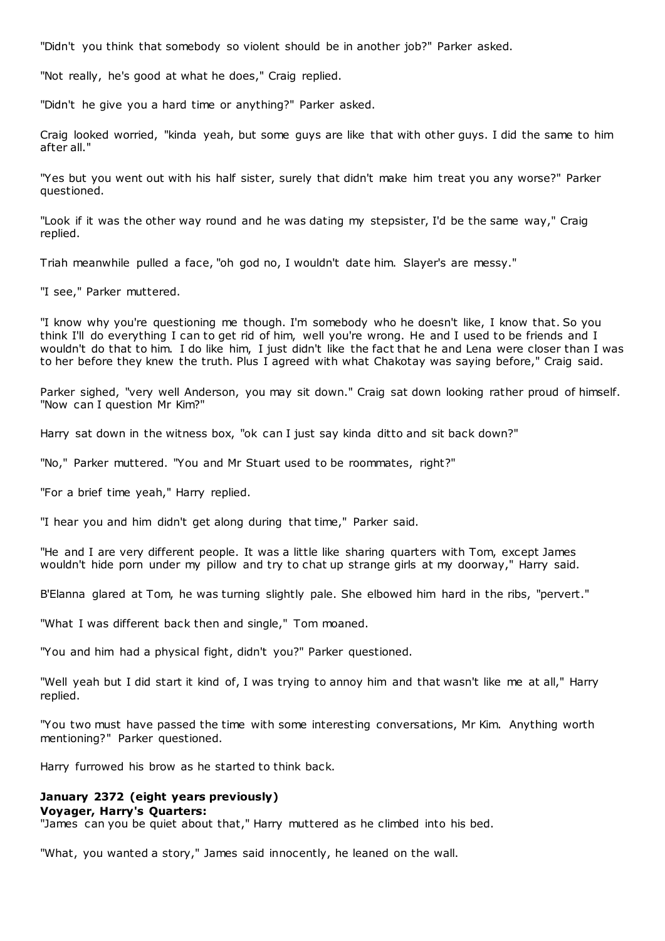"Didn't you think that somebody so violent should be in another job?" Parker asked.

"Not really, he's good at what he does," Craig replied.

"Didn't he give you a hard time or anything?" Parker asked.

Craig looked worried, "kinda yeah, but some guys are like that with other guys. I did the same to him after all."

"Yes but you went out with his half sister, surely that didn't make him treat you any worse?" Parker questioned.

"Look if it was the other way round and he was dating my stepsister, I'd be the same way," Craig replied.

Triah meanwhile pulled a face, "oh god no, I wouldn't date him. Slayer's are messy."

"I see," Parker muttered.

"I know why you're questioning me though. I'm somebody who he doesn't like, I know that. So you think I'll do everything I can to get rid of him, well you're wrong. He and I used to be friends and I wouldn't do that to him. I do like him, I just didn't like the fact that he and Lena were closer than I was to her before they knew the truth. Plus I agreed with what Chakotay was saying before," Craig said.

Parker sighed, "very well Anderson, you may sit down." Craig sat down looking rather proud of himself. "Now can I question Mr Kim?"

Harry sat down in the witness box, "ok can I just say kinda ditto and sit back down?"

"No," Parker muttered. "You and Mr Stuart used to be roommates, right?"

"For a brief time yeah," Harry replied.

"I hear you and him didn't get along during that time," Parker said.

"He and I are very different people. It was a little like sharing quarters with Tom, except James wouldn't hide porn under my pillow and try to chat up strange girls at my doorway," Harry said.

B'Elanna glared at Tom, he was turning slightly pale. She elbowed him hard in the ribs, "pervert."

"What I was different back then and single," Tom moaned.

"You and him had a physical fight, didn't you?" Parker questioned.

"Well yeah but I did start it kind of, I was trying to annoy him and that wasn't like me at all," Harry replied.

"You two must have passed the time with some interesting conversations, Mr Kim. Anything worth mentioning?" Parker questioned.

Harry furrowed his brow as he started to think back.

## **January 2372 (eight years previously)**

#### **Voyager, Harry's Quarters:**

"James can you be quiet about that," Harry muttered as he climbed into his bed.

"What, you wanted a story," James said innocently, he leaned on the wall.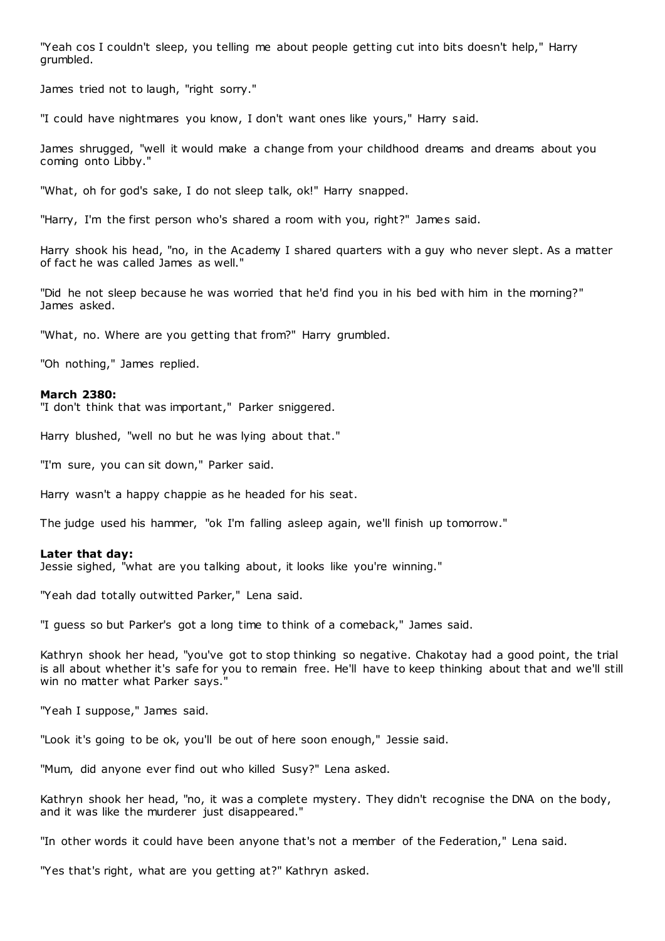"Yeah cos I couldn't sleep, you telling me about people getting cut into bits doesn't help," Harry grumbled.

James tried not to laugh, "right sorry."

"I could have nightmares you know, I don't want ones like yours," Harry said.

James shrugged, "well it would make a change from your childhood dreams and dreams about you coming onto Libby."

"What, oh for god's sake, I do not sleep talk, ok!" Harry snapped.

"Harry, I'm the first person who's shared a room with you, right?" James said.

Harry shook his head, "no, in the Academy I shared quarters with a guy who never slept. As a matter of fact he was called James as well."

"Did he not sleep because he was worried that he'd find you in his bed with him in the morning?" James asked.

"What, no. Where are you getting that from?" Harry grumbled.

"Oh nothing," James replied.

#### **March 2380:**

"I don't think that was important," Parker sniggered.

Harry blushed, "well no but he was lying about that."

"I'm sure, you can sit down," Parker said.

Harry wasn't a happy chappie as he headed for his seat.

The judge used his hammer, "ok I'm falling asleep again, we'll finish up tomorrow."

#### **Later that day:**

Jessie sighed, "what are you talking about, it looks like you're winning."

"Yeah dad totally outwitted Parker," Lena said.

"I guess so but Parker's got a long time to think of a comeback," James said.

Kathryn shook her head, "you've got to stop thinking so negative. Chakotay had a good point, the trial is all about whether it's safe for you to remain free. He'll have to keep thinking about that and we'll still win no matter what Parker says."

"Yeah I suppose," James said.

"Look it's going to be ok, you'll be out of here soon enough," Jessie said.

"Mum, did anyone ever find out who killed Susy?" Lena asked.

Kathryn shook her head, "no, it was a complete mystery. They didn't recognise the DNA on the body, and it was like the murderer just disappeared."

"In other words it could have been anyone that's not a member of the Federation," Lena said.

"Yes that's right, what are you getting at?" Kathryn asked.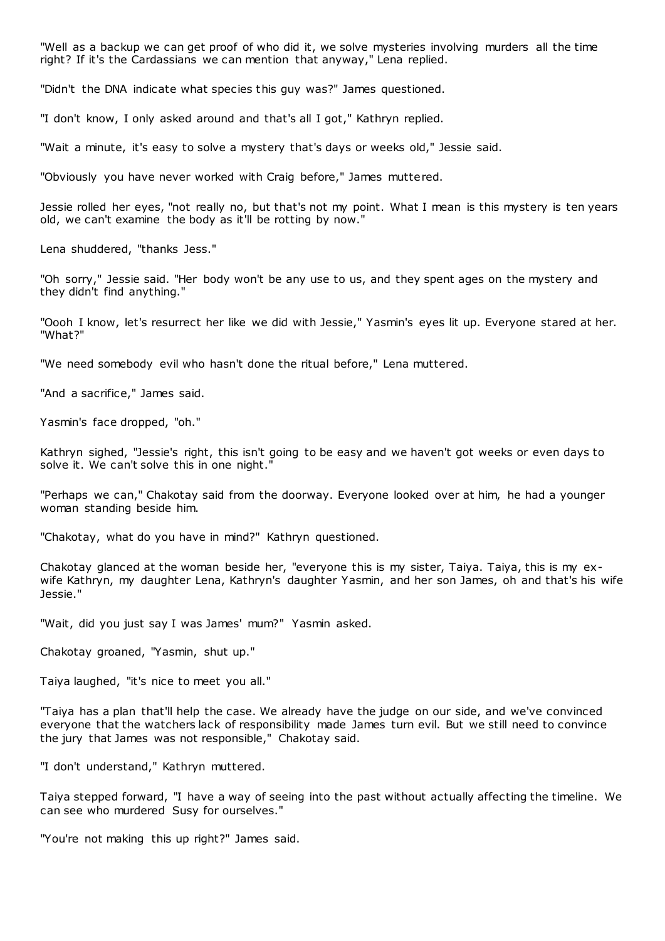"Well as a backup we can get proof of who did it, we solve mysteries involving murders all the time right? If it's the Cardassians we can mention that anyway," Lena replied.

"Didn't the DNA indicate what species this guy was?" James questioned.

"I don't know, I only asked around and that's all I got," Kathryn replied.

"Wait a minute, it's easy to solve a mystery that's days or weeks old," Jessie said.

"Obviously you have never worked with Craig before," James muttered.

Jessie rolled her eyes, "not really no, but that's not my point. What I mean is this mystery is ten years old, we can't examine the body as it'll be rotting by now."

Lena shuddered, "thanks Jess."

"Oh sorry," Jessie said. "Her body won't be any use to us, and they spent ages on the mystery and they didn't find anything."

"Oooh I know, let's resurrect her like we did with Jessie," Yasmin's eyes lit up. Everyone stared at her. "What?"

"We need somebody evil who hasn't done the ritual before," Lena muttered.

"And a sacrifice," James said.

Yasmin's face dropped, "oh."

Kathryn sighed, "Jessie's right, this isn't going to be easy and we haven't got weeks or even days to solve it. We can't solve this in one night.

"Perhaps we can," Chakotay said from the doorway. Everyone looked over at him, he had a younger woman standing beside him.

"Chakotay, what do you have in mind?" Kathryn questioned.

Chakotay glanced at the woman beside her, "everyone this is my sister, Taiya. Taiya, this is my exwife Kathryn, my daughter Lena, Kathryn's daughter Yasmin, and her son James, oh and that's his wife Jessie."

"Wait, did you just say I was James' mum?" Yasmin asked.

Chakotay groaned, "Yasmin, shut up."

Taiya laughed, "it's nice to meet you all."

"Taiya has a plan that'll help the case. We already have the judge on our side, and we've convinced everyone that the watchers lack of responsibility made James turn evil. But we still need to convince the jury that James was not responsible," Chakotay said.

"I don't understand," Kathryn muttered.

Taiya stepped forward, "I have a way of seeing into the past without actually affecting the timeline. We can see who murdered Susy for ourselves."

"You're not making this up right?" James said.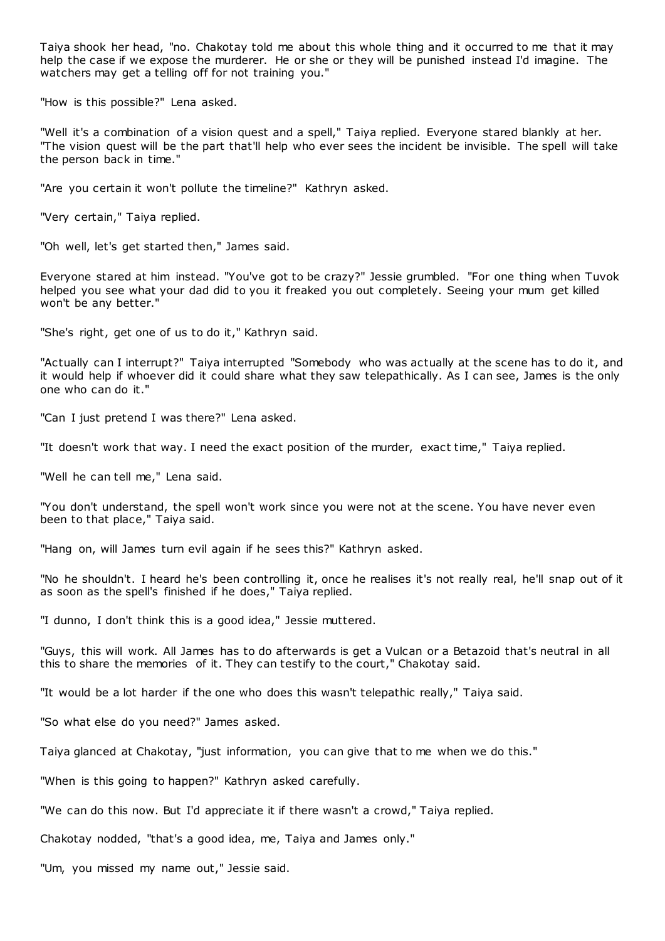Taiya shook her head, "no. Chakotay told me about this whole thing and it occurred to me that it may help the case if we expose the murderer. He or she or they will be punished instead I'd imagine. The watchers may get a telling off for not training you."

"How is this possible?" Lena asked.

"Well it's a combination of a vision quest and a spell," Taiya replied. Everyone stared blankly at her. "The vision quest will be the part that'll help who ever sees the incident be invisible. The spell will take the person back in time."

"Are you certain it won't pollute the timeline?" Kathryn asked.

"Very certain," Taiya replied.

"Oh well, let's get started then," James said.

Everyone stared at him instead. "You've got to be crazy?" Jessie grumbled. "For one thing when Tuvok helped you see what your dad did to you it freaked you out completely. Seeing your mum get killed won't be any better."

"She's right, get one of us to do it," Kathryn said.

"Actually can I interrupt?" Taiya interrupted "Somebody who was actually at the scene has to do it, and it would help if whoever did it could share what they saw telepathically. As I can see, James is the only one who can do it."

"Can I just pretend I was there?" Lena asked.

"It doesn't work that way. I need the exact position of the murder, exact time," Taiya replied.

"Well he can tell me," Lena said.

"You don't understand, the spell won't work since you were not at the scene. You have never even been to that place," Taiya said.

"Hang on, will James turn evil again if he sees this?" Kathryn asked.

"No he shouldn't. I heard he's been controlling it, once he realises it's not really real, he'll snap out of it as soon as the spell's finished if he does," Taiya replied.

"I dunno, I don't think this is a good idea," Jessie muttered.

"Guys, this will work. All James has to do afterwards is get a Vulcan or a Betazoid that's neutral in all this to share the memories of it. They can testify to the court," Chakotay said.

"It would be a lot harder if the one who does this wasn't telepathic really," Taiya said.

"So what else do you need?" James asked.

Taiya glanced at Chakotay, "just information, you can give that to me when we do this."

"When is this going to happen?" Kathryn asked carefully.

"We can do this now. But I'd appreciate it if there wasn't a crowd," Taiya replied.

Chakotay nodded, "that's a good idea, me, Taiya and James only."

"Um, you missed my name out," Jessie said.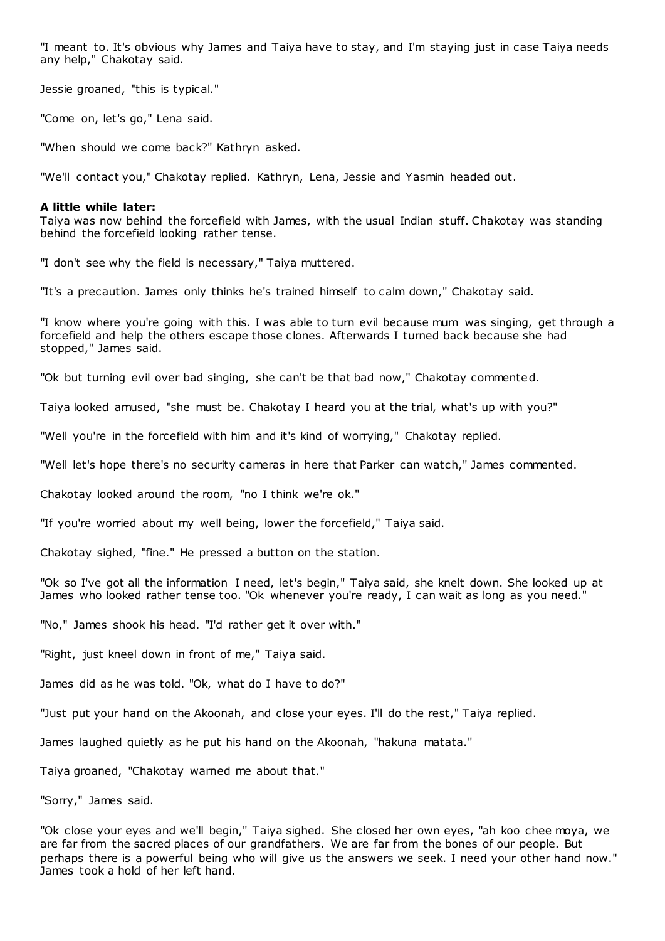"I meant to. It's obvious why James and Taiya have to stay, and I'm staying just in case Taiya needs any help," Chakotay said.

Jessie groaned, "this is typical."

"Come on, let's go," Lena said.

"When should we come back?" Kathryn asked.

"We'll contact you," Chakotay replied. Kathryn, Lena, Jessie and Yasmin headed out.

## **A little while later:**

Taiya was now behind the forcefield with James, with the usual Indian stuff. Chakotay was standing behind the forcefield looking rather tense.

"I don't see why the field is necessary," Taiya muttered.

"It's a precaution. James only thinks he's trained himself to calm down," Chakotay said.

"I know where you're going with this. I was able to turn evil because mum was singing, get through a forcefield and help the others escape those clones. Afterwards I turned back because she had stopped," James said.

"Ok but turning evil over bad singing, she can't be that bad now," Chakotay commented.

Taiya looked amused, "she must be. Chakotay I heard you at the trial, what's up with you?"

"Well you're in the forcefield with him and it's kind of worrying," Chakotay replied.

"Well let's hope there's no security cameras in here that Parker can watch," James commented.

Chakotay looked around the room, "no I think we're ok."

"If you're worried about my well being, lower the forcefield," Taiya said.

Chakotay sighed, "fine." He pressed a button on the station.

"Ok so I've got all the information I need, let's begin," Taiya said, she knelt down. She looked up at James who looked rather tense too. "Ok whenever you're ready, I can wait as long as you need."

"No," James shook his head. "I'd rather get it over with."

"Right, just kneel down in front of me," Taiya said.

James did as he was told. "Ok, what do I have to do?"

"Just put your hand on the Akoonah, and close your eyes. I'll do the rest," Taiya replied.

James laughed quietly as he put his hand on the Akoonah, "hakuna matata."

Taiya groaned, "Chakotay warned me about that."

"Sorry," James said.

"Ok close your eyes and we'll begin," Taiya sighed. She closed her own eyes, "ah koo chee moya, we are far from the sacred places of our grandfathers. We are far from the bones of our people. But perhaps there is a powerful being who will give us the answers we seek. I need your other hand now." James took a hold of her left hand.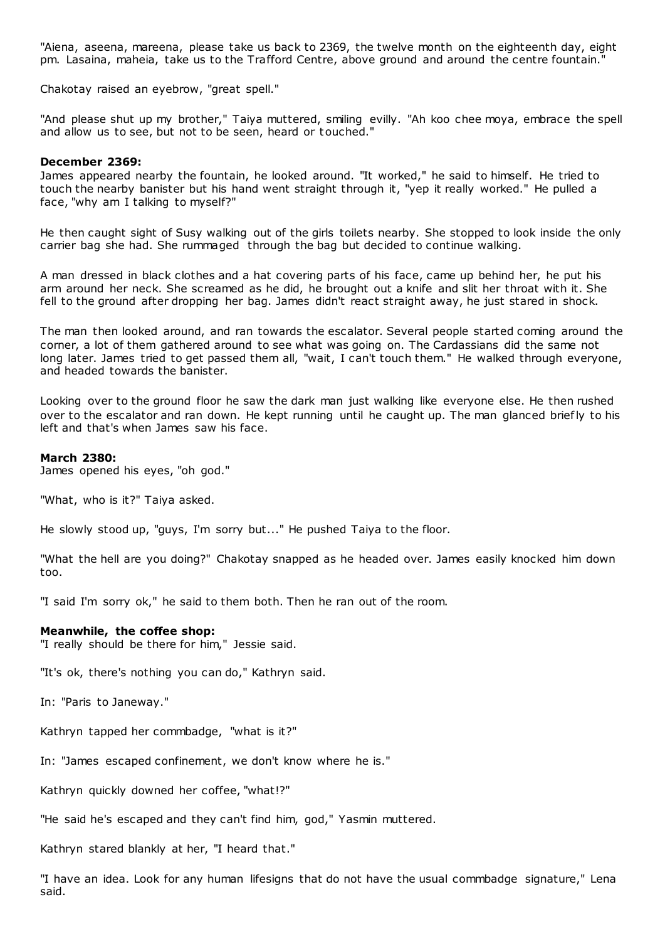"Aiena, aseena, mareena, please take us back to 2369, the twelve month on the eighteenth day, eight pm. Lasaina, maheia, take us to the Trafford Centre, above ground and around the centre fountain."

Chakotay raised an eyebrow, "great spell."

"And please shut up my brother," Taiya muttered, smiling evilly. "Ah koo chee moya, embrace the spell and allow us to see, but not to be seen, heard or touched."

#### **December 2369:**

James appeared nearby the fountain, he looked around. "It worked," he said to himself. He tried to touch the nearby banister but his hand went straight through it, "yep it really worked." He pulled a face, "why am I talking to myself?"

He then caught sight of Susy walking out of the girls toilets nearby. She stopped to look inside the only carrier bag she had. She rummaged through the bag but decided to continue walking.

A man dressed in black clothes and a hat covering parts of his face, came up behind her, he put his arm around her neck. She screamed as he did, he brought out a knife and slit her throat with it. She fell to the ground after dropping her bag. James didn't react straight away, he just stared in shock.

The man then looked around, and ran towards the escalator. Several people started coming around the corner, a lot of them gathered around to see what was going on. The Cardassians did the same not long later. James tried to get passed them all, "wait, I can't touch them." He walked through everyone, and headed towards the banister.

Looking over to the ground floor he saw the dark man just walking like everyone else. He then rushed over to the escalator and ran down. He kept running until he caught up. The man glanced briefly to his left and that's when James saw his face.

#### **March 2380:**

James opened his eyes, "oh god."

"What, who is it?" Taiya asked.

He slowly stood up, "guys, I'm sorry but..." He pushed Taiya to the floor.

"What the hell are you doing?" Chakotay snapped as he headed over. James easily knocked him down too.

"I said I'm sorry ok," he said to them both. Then he ran out of the room.

#### **Meanwhile, the coffee shop:**

"I really should be there for him," Jessie said.

"It's ok, there's nothing you can do," Kathryn said.

In: "Paris to Janeway."

Kathryn tapped her commbadge, "what is it?"

In: "James escaped confinement, we don't know where he is."

Kathryn quickly downed her coffee, "what!?"

"He said he's escaped and they can't find him, god," Yasmin muttered.

Kathryn stared blankly at her, "I heard that."

"I have an idea. Look for any human lifesigns that do not have the usual commbadge signature," Lena said.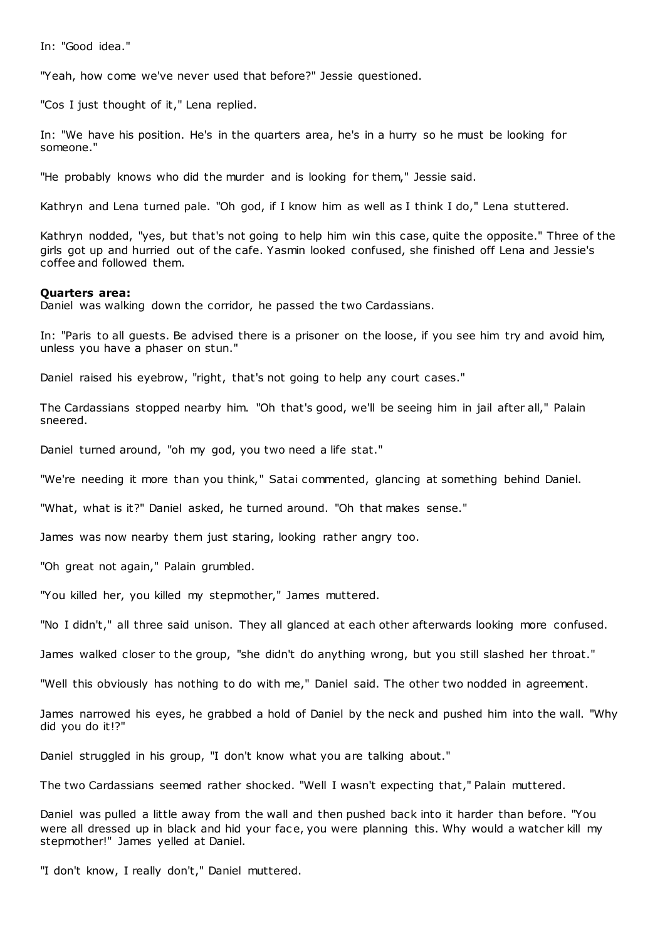In: "Good idea."

"Yeah, how come we've never used that before?" Jessie questioned.

"Cos I just thought of it," Lena replied.

In: "We have his position. He's in the quarters area, he's in a hurry so he must be looking for someone."

"He probably knows who did the murder and is looking for them," Jessie said.

Kathryn and Lena turned pale. "Oh god, if I know him as well as I think I do," Lena stuttered.

Kathryn nodded, "yes, but that's not going to help him win this case, quite the opposite." Three of the girls got up and hurried out of the cafe. Yasmin looked confused, she finished off Lena and Jessie's coffee and followed them.

## **Quarters area:**

Daniel was walking down the corridor, he passed the two Cardassians.

In: "Paris to all guests. Be advised there is a prisoner on the loose, if you see him try and avoid him, unless you have a phaser on stun."

Daniel raised his eyebrow, "right, that's not going to help any court cases."

The Cardassians stopped nearby him. "Oh that's good, we'll be seeing him in jail after all," Palain sneered.

Daniel turned around, "oh my god, you two need a life stat."

"We're needing it more than you think," Satai commented, glancing at something behind Daniel.

"What, what is it?" Daniel asked, he turned around. "Oh that makes sense."

James was now nearby them just staring, looking rather angry too.

"Oh great not again," Palain grumbled.

"You killed her, you killed my stepmother," James muttered.

"No I didn't," all three said unison. They all glanced at each other afterwards looking more confused.

James walked closer to the group, "she didn't do anything wrong, but you still slashed her throat."

"Well this obviously has nothing to do with me," Daniel said. The other two nodded in agreement.

James narrowed his eyes, he grabbed a hold of Daniel by the neck and pushed him into the wall. "Why did you do it!?"

Daniel struggled in his group, "I don't know what you are talking about."

The two Cardassians seemed rather shocked. "Well I wasn't expecting that," Palain muttered.

Daniel was pulled a little away from the wall and then pushed back into it harder than before. "You were all dressed up in black and hid your face, you were planning this. Why would a watcher kill my stepmother!" James yelled at Daniel.

"I don't know, I really don't," Daniel muttered.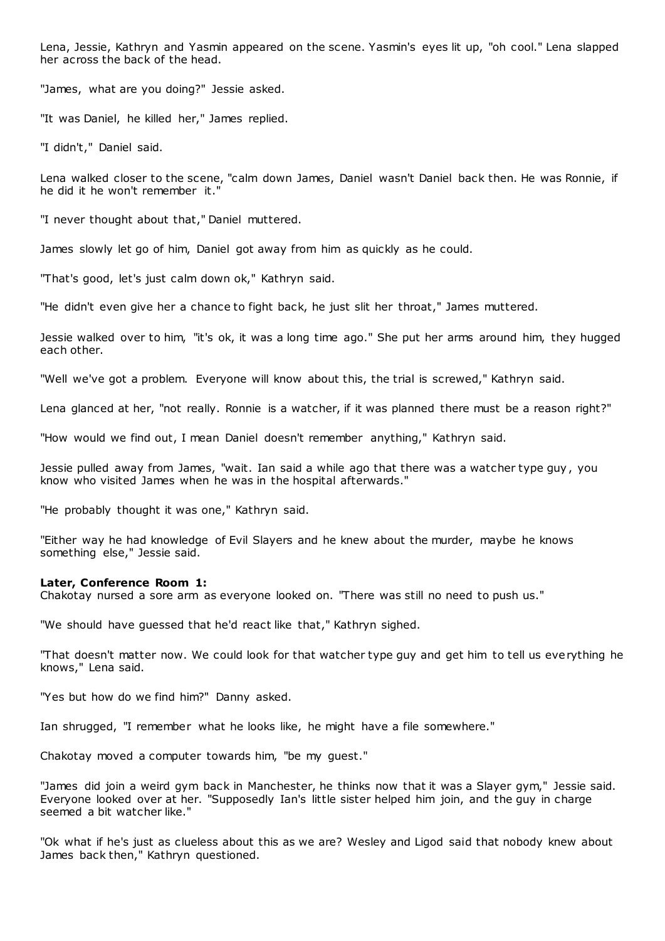Lena, Jessie, Kathryn and Yasmin appeared on the scene. Yasmin's eyes lit up, "oh cool." Lena slapped her across the back of the head.

"James, what are you doing?" Jessie asked.

"It was Daniel, he killed her," James replied.

"I didn't," Daniel said.

Lena walked closer to the scene, "calm down James, Daniel wasn't Daniel back then. He was Ronnie, if he did it he won't remember it."

"I never thought about that," Daniel muttered.

James slowly let go of him, Daniel got away from him as quickly as he could.

"That's good, let's just calm down ok," Kathryn said.

"He didn't even give her a chance to fight back, he just slit her throat," James muttered.

Jessie walked over to him, "it's ok, it was a long time ago." She put her arms around him, they hugged each other.

"Well we've got a problem. Everyone will know about this, the trial is screwed," Kathryn said.

Lena glanced at her, "not really. Ronnie is a watcher, if it was planned there must be a reason right?"

"How would we find out, I mean Daniel doesn't remember anything," Kathryn said.

Jessie pulled away from James, "wait. Ian said a while ago that there was a watcher type guy , you know who visited James when he was in the hospital afterwards."

"He probably thought it was one," Kathryn said.

"Either way he had knowledge of Evil Slayers and he knew about the murder, maybe he knows something else," Jessie said.

#### **Later, Conference Room 1:**

Chakotay nursed a sore arm as everyone looked on. "There was still no need to push us."

"We should have guessed that he'd react like that," Kathryn sighed.

"That doesn't matter now. We could look for that watcher type guy and get him to tell us everything he knows," Lena said.

"Yes but how do we find him?" Danny asked.

Ian shrugged, "I remember what he looks like, he might have a file somewhere."

Chakotay moved a computer towards him, "be my guest."

"James did join a weird gym back in Manchester, he thinks now that it was a Slayer gym," Jessie said. Everyone looked over at her. "Supposedly Ian's little sister helped him join, and the guy in charge seemed a bit watcher like."

"Ok what if he's just as clueless about this as we are? Wesley and Ligod said that nobody knew about James back then," Kathryn questioned.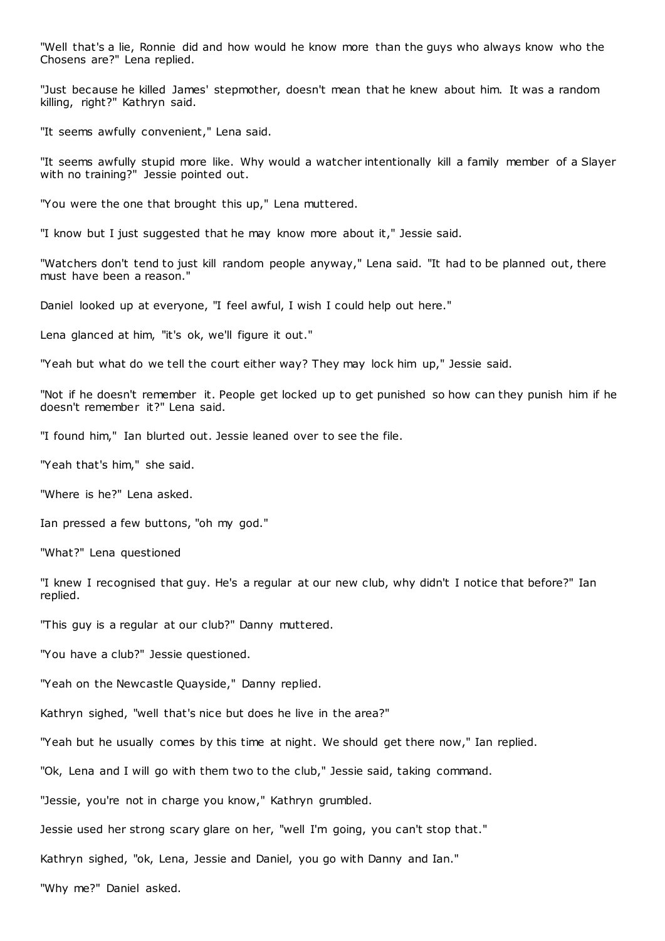"Well that's a lie, Ronnie did and how would he know more than the guys who always know who the Chosens are?" Lena replied.

"Just because he killed James' stepmother, doesn't mean that he knew about him. It was a random killing, right?" Kathryn said.

"It seems awfully convenient," Lena said.

"It seems awfully stupid more like. Why would a watcher intentionally kill a family member of a Slayer with no training?" Jessie pointed out.

"You were the one that brought this up," Lena muttered.

"I know but I just suggested that he may know more about it," Jessie said.

"Watchers don't tend to just kill random people anyway," Lena said. "It had to be planned out, there must have been a reason."

Daniel looked up at everyone, "I feel awful, I wish I could help out here."

Lena glanced at him, "it's ok, we'll figure it out."

"Yeah but what do we tell the court either way? They may lock him up," Jessie said.

"Not if he doesn't remember it. People get locked up to get punished so how can they punish him if he doesn't remember it?" Lena said.

"I found him," Ian blurted out. Jessie leaned over to see the file.

"Yeah that's him," she said.

"Where is he?" Lena asked.

Ian pressed a few buttons, "oh my god."

"What?" Lena questioned

"I knew I recognised that guy. He's a regular at our new club, why didn't I notice that before?" Ian replied.

"This guy is a regular at our club?" Danny muttered.

"You have a club?" Jessie questioned.

"Yeah on the Newcastle Quayside," Danny replied.

Kathryn sighed, "well that's nice but does he live in the area?"

"Yeah but he usually comes by this time at night. We should get there now," Ian replied.

"Ok, Lena and I will go with them two to the club," Jessie said, taking command.

"Jessie, you're not in charge you know," Kathryn grumbled.

Jessie used her strong scary glare on her, "well I'm going, you can't stop that."

Kathryn sighed, "ok, Lena, Jessie and Daniel, you go with Danny and Ian."

"Why me?" Daniel asked.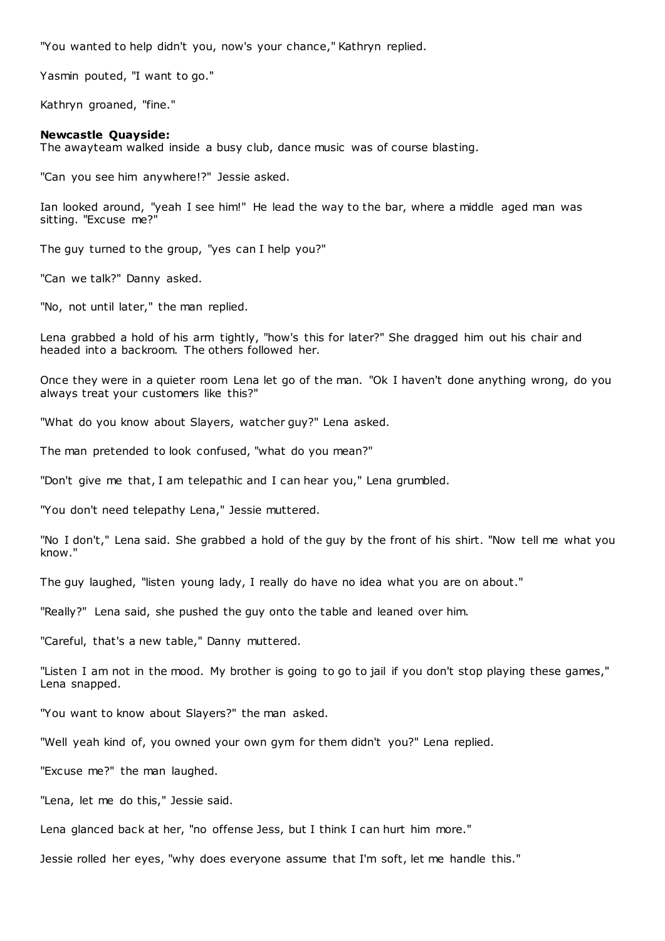"You wanted to help didn't you, now's your chance," Kathryn replied.

Yasmin pouted, "I want to go."

Kathryn groaned, "fine."

#### **Newcastle Quayside:**

The awayteam walked inside a busy club, dance music was of course blasting.

"Can you see him anywhere!?" Jessie asked.

Ian looked around, "yeah I see him!" He lead the way to the bar, where a middle aged man was sitting. "Excuse me?

The guy turned to the group, "yes can I help you?"

"Can we talk?" Danny asked.

"No, not until later," the man replied.

Lena grabbed a hold of his arm tightly, "how's this for later?" She dragged him out his chair and headed into a backroom. The others followed her.

Once they were in a quieter room Lena let go of the man. "Ok I haven't done anything wrong, do you always treat your customers like this?"

"What do you know about Slayers, watcher guy?" Lena asked.

The man pretended to look confused, "what do you mean?"

"Don't give me that, I am telepathic and I can hear you," Lena grumbled.

"You don't need telepathy Lena," Jessie muttered.

"No I don't," Lena said. She grabbed a hold of the guy by the front of his shirt. "Now tell me what you know."

The guy laughed, "listen young lady, I really do have no idea what you are on about."

"Really?" Lena said, she pushed the guy onto the table and leaned over him.

"Careful, that's a new table," Danny muttered.

"Listen I am not in the mood. My brother is going to go to jail if you don't stop playing these games," Lena snapped.

"You want to know about Slayers?" the man asked.

"Well yeah kind of, you owned your own gym for them didn't you?" Lena replied.

"Excuse me?" the man laughed.

"Lena, let me do this," Jessie said.

Lena glanced back at her, "no offense Jess, but I think I can hurt him more."

Jessie rolled her eyes, "why does everyone assume that I'm soft, let me handle this."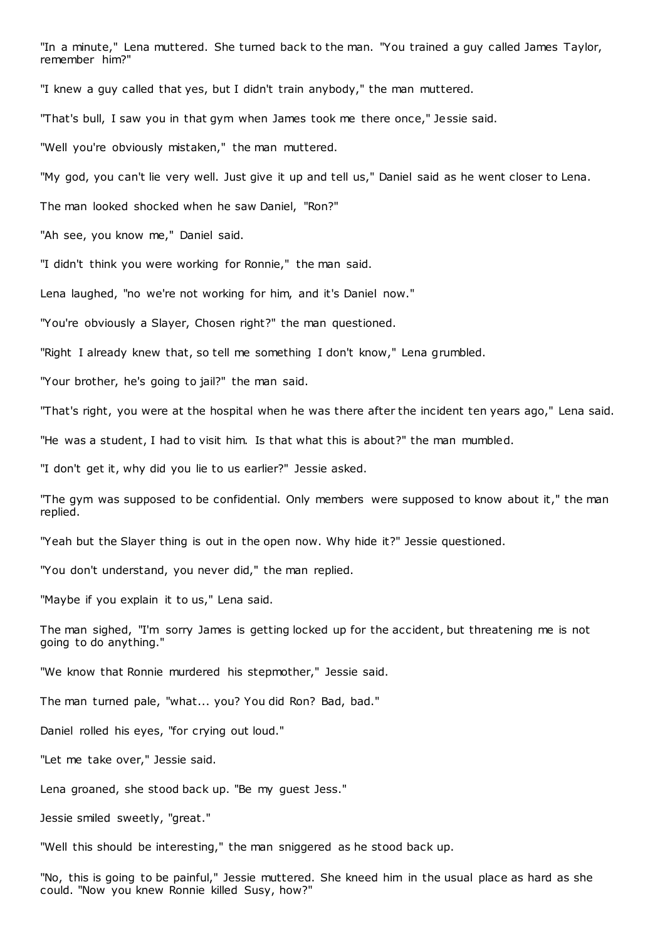"In a minute," Lena muttered. She turned back to the man. "You trained a guy called James Taylor, remember him?"

"I knew a guy called that yes, but I didn't train anybody," the man muttered.

"That's bull, I saw you in that gym when James took me there once," Jessie said.

"Well you're obviously mistaken," the man muttered.

"My god, you can't lie very well. Just give it up and tell us," Daniel said as he went closer to Lena.

The man looked shocked when he saw Daniel, "Ron?"

"Ah see, you know me," Daniel said.

"I didn't think you were working for Ronnie," the man said.

Lena laughed, "no we're not working for him, and it's Daniel now."

"You're obviously a Slayer, Chosen right?" the man questioned.

"Right I already knew that, so tell me something I don't know," Lena grumbled.

"Your brother, he's going to jail?" the man said.

"That's right, you were at the hospital when he was there after the incident ten years ago," Lena said.

"He was a student, I had to visit him. Is that what this is about?" the man mumbled.

"I don't get it, why did you lie to us earlier?" Jessie asked.

"The gym was supposed to be confidential. Only members were supposed to know about it," the man replied.

"Yeah but the Slayer thing is out in the open now. Why hide it?" Jessie questioned.

"You don't understand, you never did," the man replied.

"Maybe if you explain it to us," Lena said.

The man sighed, "I'm sorry James is getting locked up for the accident, but threatening me is not going to do anything."

"We know that Ronnie murdered his stepmother," Jessie said.

The man turned pale, "what... you? You did Ron? Bad, bad."

Daniel rolled his eyes, "for crying out loud."

"Let me take over," Jessie said.

Lena groaned, she stood back up. "Be my guest Jess."

Jessie smiled sweetly, "great."

"Well this should be interesting," the man sniggered as he stood back up.

"No, this is going to be painful," Jessie muttered. She kneed him in the usual place as hard as she could. "Now you knew Ronnie killed Susy, how?"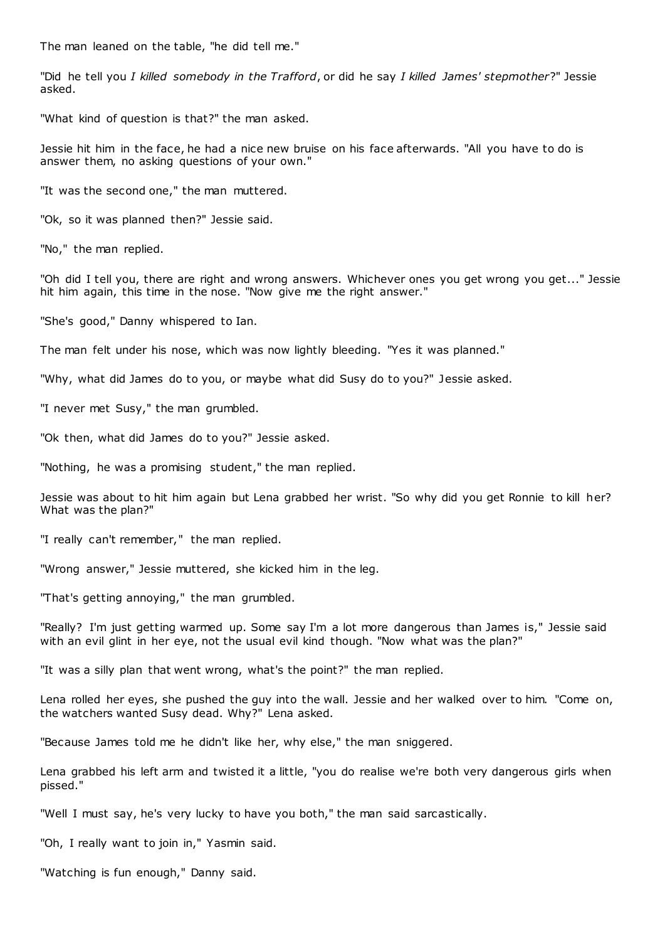The man leaned on the table, "he did tell me."

"Did he tell you *I killed somebody in the Trafford*, or did he say *I killed James' stepmother*?" Jessie asked.

"What kind of question is that?" the man asked.

Jessie hit him in the face, he had a nice new bruise on his face afterwards. "All you have to do is answer them, no asking questions of your own."

"It was the second one," the man muttered.

"Ok, so it was planned then?" Jessie said.

"No," the man replied.

"Oh did I tell you, there are right and wrong answers. Whichever ones you get wrong you get..." Jessie hit him again, this time in the nose. "Now give me the right answer."

"She's good," Danny whispered to Ian.

The man felt under his nose, which was now lightly bleeding. "Yes it was planned."

"Why, what did James do to you, or maybe what did Susy do to you?" Jessie asked.

"I never met Susy," the man grumbled.

"Ok then, what did James do to you?" Jessie asked.

"Nothing, he was a promising student," the man replied.

Jessie was about to hit him again but Lena grabbed her wrist. "So why did you get Ronnie to kill her? What was the plan?"

"I really can't remember," the man replied.

"Wrong answer," Jessie muttered, she kicked him in the leg.

"That's getting annoying," the man grumbled.

"Really? I'm just getting warmed up. Some say I'm a lot more dangerous than James is," Jessie said with an evil glint in her eye, not the usual evil kind though. "Now what was the plan?"

"It was a silly plan that went wrong, what's the point?" the man replied.

Lena rolled her eyes, she pushed the guy into the wall. Jessie and her walked over to him. "Come on, the watchers wanted Susy dead. Why?" Lena asked.

"Because James told me he didn't like her, why else," the man sniggered.

Lena grabbed his left arm and twisted it a little, "you do realise we're both very dangerous girls when pissed."

"Well I must say, he's very lucky to have you both," the man said sarcastically.

"Oh, I really want to join in," Yasmin said.

"Watching is fun enough," Danny said.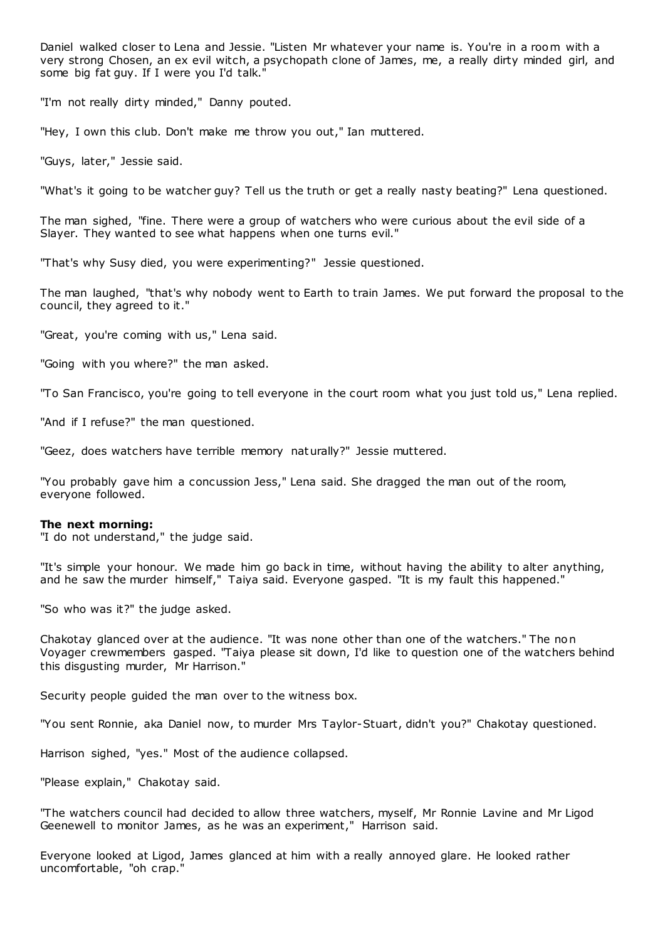Daniel walked closer to Lena and Jessie. "Listen Mr whatever your name is. You're in a room with a very strong Chosen, an ex evil witch, a psychopath clone of James, me, a really dirty minded girl, and some big fat guy. If I were you I'd talk."

"I'm not really dirty minded," Danny pouted.

"Hey, I own this club. Don't make me throw you out," Ian muttered.

"Guys, later," Jessie said.

"What's it going to be watcher guy? Tell us the truth or get a really nasty beating?" Lena questioned.

The man sighed, "fine. There were a group of watchers who were curious about the evil side of a Slayer. They wanted to see what happens when one turns evil."

"That's why Susy died, you were experimenting?" Jessie questioned.

The man laughed, "that's why nobody went to Earth to train James. We put forward the proposal to the council, they agreed to it."

"Great, you're coming with us," Lena said.

"Going with you where?" the man asked.

"To San Francisco, you're going to tell everyone in the court room what you just told us," Lena replied.

"And if I refuse?" the man questioned.

"Geez, does watchers have terrible memory naturally?" Jessie muttered.

"You probably gave him a concussion Jess," Lena said. She dragged the man out of the room, everyone followed.

#### **The next morning:**

"I do not understand," the judge said.

"It's simple your honour. We made him go back in time, without having the ability to alter anything, and he saw the murder himself," Taiya said. Everyone gasped. "It is my fault this happened."

"So who was it?" the judge asked.

Chakotay glanced over at the audience. "It was none other than one of the watchers." The non Voyager crewmembers gasped. "Taiya please sit down, I'd like to question one of the watchers behind this disgusting murder, Mr Harrison."

Security people guided the man over to the witness box.

"You sent Ronnie, aka Daniel now, to murder Mrs Taylor-Stuart, didn't you?" Chakotay questioned.

Harrison sighed, "yes." Most of the audience collapsed.

"Please explain," Chakotay said.

"The watchers council had decided to allow three watchers, myself, Mr Ronnie Lavine and Mr Ligod Geenewell to monitor James, as he was an experiment," Harrison said.

Everyone looked at Ligod, James glanced at him with a really annoyed glare. He looked rather uncomfortable, "oh crap."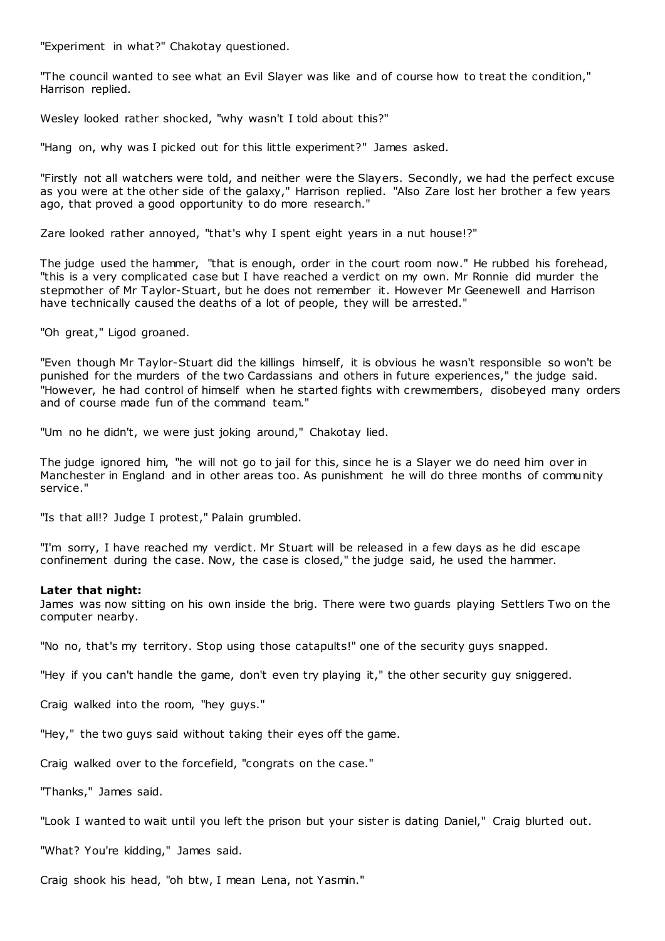"Experiment in what?" Chakotay questioned.

"The council wanted to see what an Evil Slayer was like and of course how to treat the condition," Harrison replied.

Wesley looked rather shocked, "why wasn't I told about this?"

"Hang on, why was I picked out for this little experiment?" James asked.

"Firstly not all watchers were told, and neither were the Slayers. Secondly, we had the perfect excuse as you were at the other side of the galaxy," Harrison replied. "Also Zare lost her brother a few years ago, that proved a good opportunity to do more research."

Zare looked rather annoyed, "that's why I spent eight years in a nut house!?"

The judge used the hammer, "that is enough, order in the court room now." He rubbed his forehead, "this is a very complicated case but I have reached a verdict on my own. Mr Ronnie did murder the stepmother of Mr Taylor-Stuart, but he does not remember it. However Mr Geenewell and Harrison have technically caused the deaths of a lot of people, they will be arrested."

"Oh great," Ligod groaned.

"Even though Mr Taylor-Stuart did the killings himself, it is obvious he wasn't responsible so won't be punished for the murders of the two Cardassians and others in future experiences," the judge said. "However, he had control of himself when he started fights with crewmembers, disobeyed many orders and of course made fun of the command team."

"Um no he didn't, we were just joking around," Chakotay lied.

The judge ignored him, "he will not go to jail for this, since he is a Slayer we do need him over in Manchester in England and in other areas too. As punishment he will do three months of community service."

"Is that all!? Judge I protest," Palain grumbled.

"I'm sorry, I have reached my verdict. Mr Stuart will be released in a few days as he did escape confinement during the case. Now, the case is closed," the judge said, he used the hammer.

#### **Later that night:**

James was now sitting on his own inside the brig. There were two guards playing Settlers Two on the computer nearby.

"No no, that's my territory. Stop using those catapults!" one of the security guys snapped.

"Hey if you can't handle the game, don't even try playing it," the other security guy sniggered.

Craig walked into the room, "hey guys."

"Hey," the two guys said without taking their eyes off the game.

Craig walked over to the forcefield, "congrats on the case."

"Thanks," James said.

"Look I wanted to wait until you left the prison but your sister is dating Daniel," Craig blurted out.

"What? You're kidding," James said.

Craig shook his head, "oh btw, I mean Lena, not Yasmin."